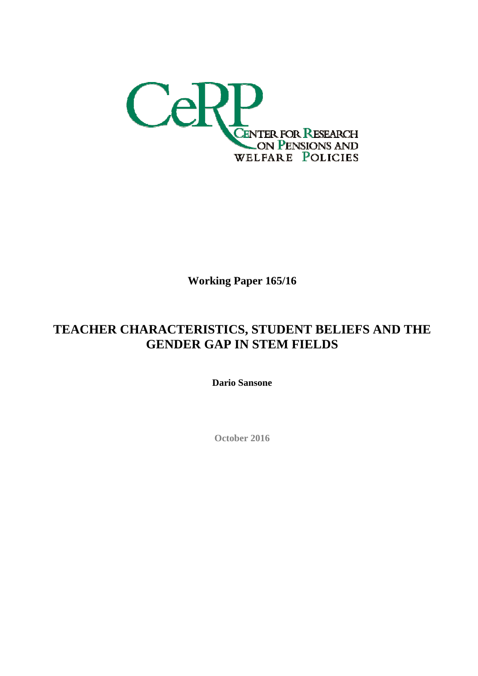

**Working Paper 165/16**

## **TEACHER CHARACTERISTICS, STUDENT BELIEFS AND THE GENDER GAP IN STEM FIELDS**

**Dario Sansone** 

**October 2016**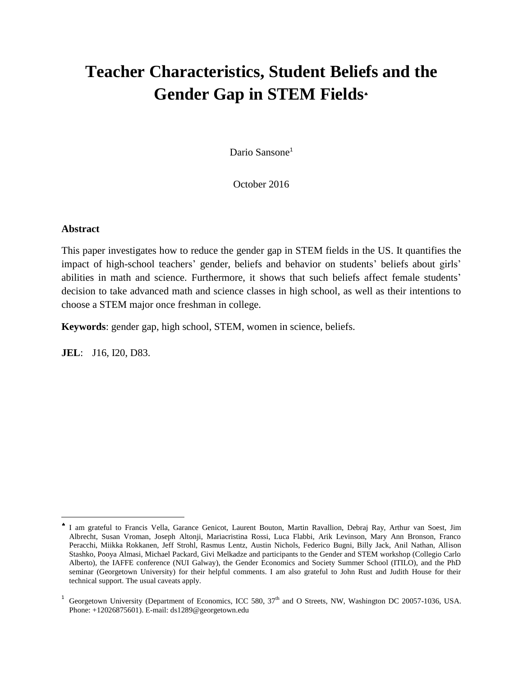# **Teacher Characteristics, Student Beliefs and the Gender Gap in STEM Fields**

Dario Sansone<sup>1</sup>

October 2016

### **Abstract**

 $\overline{a}$ 

This paper investigates how to reduce the gender gap in STEM fields in the US. It quantifies the impact of high-school teachers' gender, beliefs and behavior on students' beliefs about girls' abilities in math and science. Furthermore, it shows that such beliefs affect female students' decision to take advanced math and science classes in high school, as well as their intentions to choose a STEM major once freshman in college.

**Keywords**: gender gap, high school, STEM, women in science, beliefs.

**JEL**: J16, I20, D83.

۸ I am grateful to Francis Vella, Garance Genicot, Laurent Bouton, Martin Ravallion, Debraj Ray, Arthur van Soest, Jim Albrecht, Susan Vroman, Joseph Altonji, Mariacristina Rossi, Luca Flabbi, Arik Levinson, Mary Ann Bronson, Franco Peracchi, Miikka Rokkanen, Jeff Strohl, Rasmus Lentz, Austin Nichols, Federico Bugni, Billy Jack, Anil Nathan, Allison Stashko, Pooya Almasi, Michael Packard, Givi Melkadze and participants to the Gender and STEM workshop (Collegio Carlo Alberto), the IAFFE conference (NUI Galway), the Gender Economics and Society Summer School (ITILO), and the PhD seminar (Georgetown University) for their helpful comments. I am also grateful to John Rust and Judith House for their technical support. The usual caveats apply.

<sup>1</sup> Georgetown University (Department of Economics, ICC 580, 37<sup>th</sup> and O Streets, NW, Washington DC 20057-1036, USA. Phone: +12026875601). E-mail: ds1289@georgetown.edu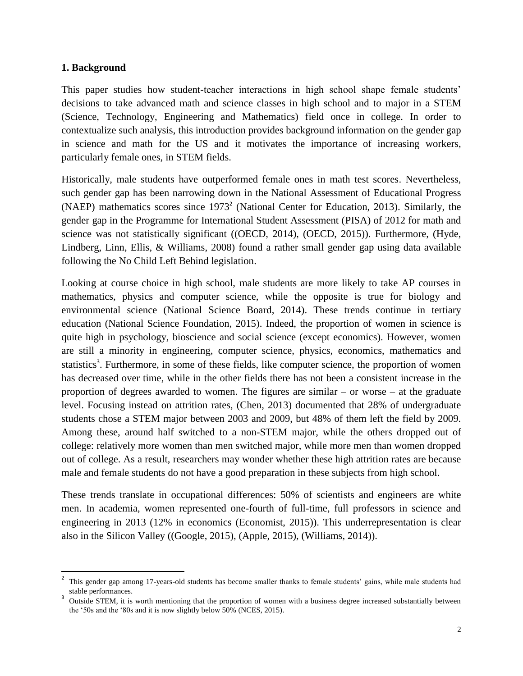### **1. Background**

 $\overline{\phantom{a}}$ 

This paper studies how student-teacher interactions in high school shape female students' decisions to take advanced math and science classes in high school and to major in a STEM (Science, Technology, Engineering and Mathematics) field once in college. In order to contextualize such analysis, this introduction provides background information on the gender gap in science and math for the US and it motivates the importance of increasing workers, particularly female ones, in STEM fields.

Historically, male students have outperformed female ones in math test scores. Nevertheless, such gender gap has been narrowing down in the National Assessment of Educational Progress (NAEP) mathematics scores since 1973<sup>2</sup> (National Center for Education, 2013). Similarly, the gender gap in the Programme for International Student Assessment (PISA) of 2012 for math and science was not statistically significant ((OECD, 2014), (OECD, 2015)). Furthermore, (Hyde, Lindberg, Linn, Ellis, & Williams, 2008) found a rather small gender gap using data available following the No Child Left Behind legislation.

Looking at course choice in high school, male students are more likely to take AP courses in mathematics, physics and computer science, while the opposite is true for biology and environmental science (National Science Board, 2014). These trends continue in tertiary education (National Science Foundation, 2015). Indeed, the proportion of women in science is quite high in psychology, bioscience and social science (except economics). However, women are still a minority in engineering, computer science, physics, economics, mathematics and statistics<sup>3</sup>. Furthermore, in some of these fields, like computer science, the proportion of women has decreased over time, while in the other fields there has not been a consistent increase in the proportion of degrees awarded to women. The figures are similar – or worse – at the graduate level. Focusing instead on attrition rates, (Chen, 2013) documented that 28% of undergraduate students chose a STEM major between 2003 and 2009, but 48% of them left the field by 2009. Among these, around half switched to a non-STEM major, while the others dropped out of college: relatively more women than men switched major, while more men than women dropped out of college. As a result, researchers may wonder whether these high attrition rates are because male and female students do not have a good preparation in these subjects from high school.

These trends translate in occupational differences: 50% of scientists and engineers are white men. In academia, women represented one-fourth of full-time, full professors in science and engineering in 2013 (12% in economics (Economist, 2015)). This underrepresentation is clear also in the Silicon Valley ((Google, 2015), (Apple, 2015), (Williams, 2014)).

<sup>2</sup> This gender gap among 17-years-old students has become smaller thanks to female students' gains, while male students had stable performances.

<sup>3</sup> Outside STEM, it is worth mentioning that the proportion of women with a business degree increased substantially between the '50s and the '80s and it is now slightly below 50% (NCES, 2015).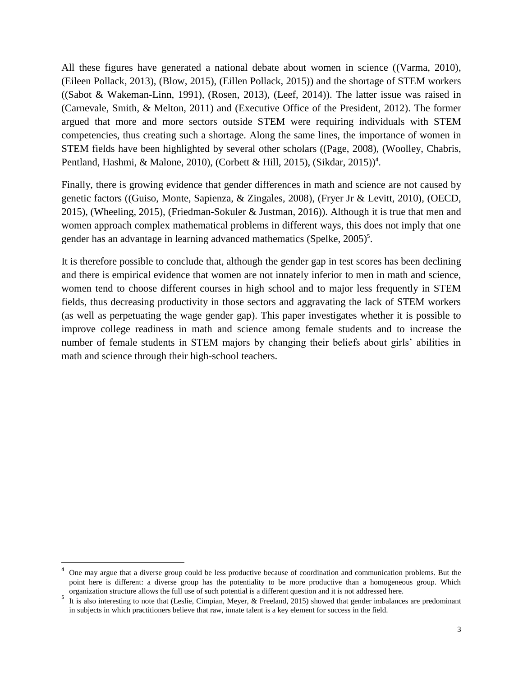All these figures have generated a national debate about women in science ((Varma, 2010), (Eileen Pollack, 2013), (Blow, 2015), (Eillen Pollack, 2015)) and the shortage of STEM workers ((Sabot & Wakeman-Linn, 1991), (Rosen, 2013), (Leef, 2014)). The latter issue was raised in (Carnevale, Smith, & Melton, 2011) and (Executive Office of the President, 2012). The former argued that more and more sectors outside STEM were requiring individuals with STEM competencies, thus creating such a shortage. Along the same lines, the importance of women in STEM fields have been highlighted by several other scholars ((Page, 2008), (Woolley, Chabris, Pentland, Hashmi, & Malone, 2010), (Corbett & Hill, 2015), (Sikdar, 2015))<sup>4</sup>.

Finally, there is growing evidence that gender differences in math and science are not caused by genetic factors ((Guiso, Monte, Sapienza, & Zingales, 2008), (Fryer Jr & Levitt, 2010), (OECD, 2015), (Wheeling, 2015), (Friedman-Sokuler & Justman, 2016)). Although it is true that men and women approach complex mathematical problems in different ways, this does not imply that one gender has an advantage in learning advanced mathematics (Spelke, 2005)<sup>5</sup>.

It is therefore possible to conclude that, although the gender gap in test scores has been declining and there is empirical evidence that women are not innately inferior to men in math and science, women tend to choose different courses in high school and to major less frequently in STEM fields, thus decreasing productivity in those sectors and aggravating the lack of STEM workers (as well as perpetuating the wage gender gap). This paper investigates whether it is possible to improve college readiness in math and science among female students and to increase the number of female students in STEM majors by changing their beliefs about girls' abilities in math and science through their high-school teachers.

 $\overline{\phantom{a}}$ 

<sup>4</sup> One may argue that a diverse group could be less productive because of coordination and communication problems. But the point here is different: a diverse group has the potentiality to be more productive than a homogeneous group. Which organization structure allows the full use of such potential is a different question and it is not addressed here.

 $5$  It is also interesting to note that (Leslie, Cimpian, Meyer, & Freeland, 2015) showed that gender imbalances are predominant in subjects in which practitioners believe that raw, innate talent is a key element for success in the field.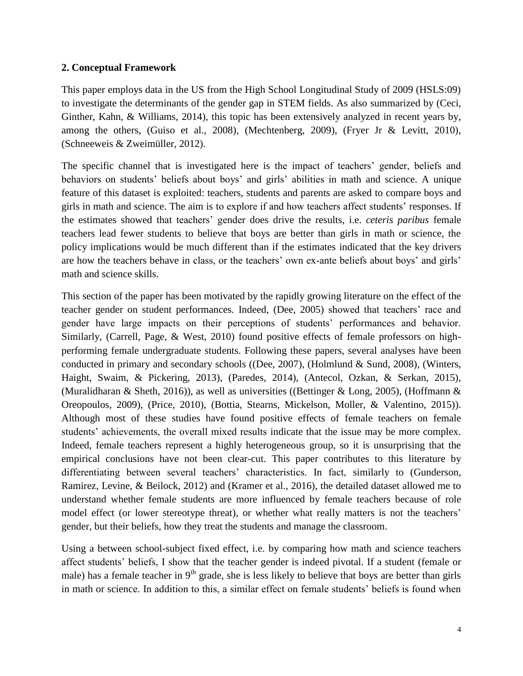### **2. Conceptual Framework**

This paper employs data in the US from the High School Longitudinal Study of 2009 (HSLS:09) to investigate the determinants of the gender gap in STEM fields. As also summarized by (Ceci, Ginther, Kahn, & Williams, 2014), this topic has been extensively analyzed in recent years by, among the others, (Guiso et al., 2008), (Mechtenberg, 2009), (Fryer Jr & Levitt, 2010), (Schneeweis & Zweimüller, 2012).

The specific channel that is investigated here is the impact of teachers' gender, beliefs and behaviors on students' beliefs about boys' and girls' abilities in math and science. A unique feature of this dataset is exploited: teachers, students and parents are asked to compare boys and girls in math and science. The aim is to explore if and how teachers affect students' responses. If the estimates showed that teachers' gender does drive the results, i.e. *ceteris paribus* female teachers lead fewer students to believe that boys are better than girls in math or science, the policy implications would be much different than if the estimates indicated that the key drivers are how the teachers behave in class, or the teachers' own ex-ante beliefs about boys' and girls' math and science skills.

This section of the paper has been motivated by the rapidly growing literature on the effect of the teacher gender on student performances. Indeed, (Dee, 2005) showed that teachers' race and gender have large impacts on their perceptions of students' performances and behavior. Similarly, (Carrell, Page, & West, 2010) found positive effects of female professors on highperforming female undergraduate students. Following these papers, several analyses have been conducted in primary and secondary schools ((Dee, 2007), (Holmlund & Sund, 2008), (Winters, Haight, Swaim, & Pickering, 2013), (Paredes, 2014), (Antecol, Ozkan, & Serkan, 2015), (Muralidharan & Sheth, 2016)), as well as universities ((Bettinger & Long, 2005), (Hoffmann & Oreopoulos, 2009), (Price, 2010), (Bottia, Stearns, Mickelson, Moller, & Valentino, 2015)). Although most of these studies have found positive effects of female teachers on female students' achievements, the overall mixed results indicate that the issue may be more complex. Indeed, female teachers represent a highly heterogeneous group, so it is unsurprising that the empirical conclusions have not been clear-cut. This paper contributes to this literature by differentiating between several teachers' characteristics. In fact, similarly to (Gunderson, Ramirez, Levine, & Beilock, 2012) and (Kramer et al., 2016), the detailed dataset allowed me to understand whether female students are more influenced by female teachers because of role model effect (or lower stereotype threat), or whether what really matters is not the teachers' gender, but their beliefs, how they treat the students and manage the classroom.

Using a between school-subject fixed effect, i.e. by comparing how math and science teachers affect students' beliefs, I show that the teacher gender is indeed pivotal. If a student (female or male) has a female teacher in  $9<sup>th</sup>$  grade, she is less likely to believe that boys are better than girls in math or science. In addition to this, a similar effect on female students' beliefs is found when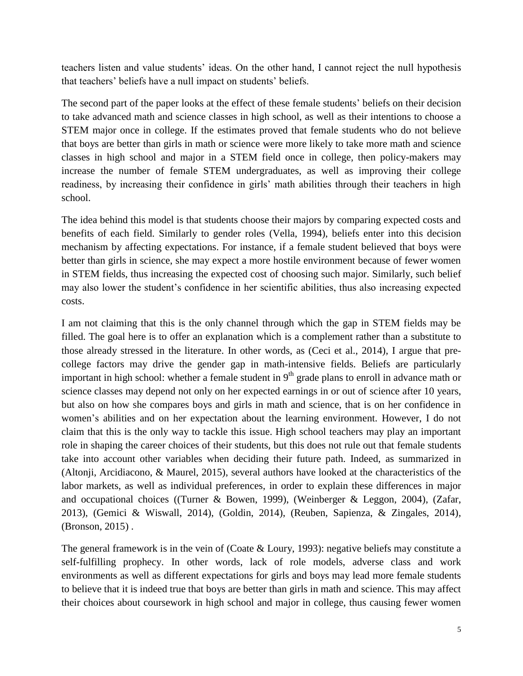teachers listen and value students' ideas. On the other hand, I cannot reject the null hypothesis that teachers' beliefs have a null impact on students' beliefs.

The second part of the paper looks at the effect of these female students' beliefs on their decision to take advanced math and science classes in high school, as well as their intentions to choose a STEM major once in college. If the estimates proved that female students who do not believe that boys are better than girls in math or science were more likely to take more math and science classes in high school and major in a STEM field once in college, then policy-makers may increase the number of female STEM undergraduates, as well as improving their college readiness, by increasing their confidence in girls' math abilities through their teachers in high school.

The idea behind this model is that students choose their majors by comparing expected costs and benefits of each field. Similarly to gender roles (Vella, 1994), beliefs enter into this decision mechanism by affecting expectations. For instance, if a female student believed that boys were better than girls in science, she may expect a more hostile environment because of fewer women in STEM fields, thus increasing the expected cost of choosing such major. Similarly, such belief may also lower the student's confidence in her scientific abilities, thus also increasing expected costs.

I am not claiming that this is the only channel through which the gap in STEM fields may be filled. The goal here is to offer an explanation which is a complement rather than a substitute to those already stressed in the literature. In other words, as (Ceci et al., 2014), I argue that precollege factors may drive the gender gap in math-intensive fields. Beliefs are particularly important in high school: whether a female student in  $9<sup>th</sup>$  grade plans to enroll in advance math or science classes may depend not only on her expected earnings in or out of science after 10 years, but also on how she compares boys and girls in math and science, that is on her confidence in women's abilities and on her expectation about the learning environment. However, I do not claim that this is the only way to tackle this issue. High school teachers may play an important role in shaping the career choices of their students, but this does not rule out that female students take into account other variables when deciding their future path. Indeed, as summarized in (Altonji, Arcidiacono, & Maurel, 2015), several authors have looked at the characteristics of the labor markets, as well as individual preferences, in order to explain these differences in major and occupational choices ((Turner & Bowen, 1999), (Weinberger & Leggon, 2004), (Zafar, 2013), (Gemici & Wiswall, 2014), (Goldin, 2014), (Reuben, Sapienza, & Zingales, 2014), (Bronson, 2015) .

The general framework is in the vein of (Coate & Loury, 1993): negative beliefs may constitute a self-fulfilling prophecy. In other words, lack of role models, adverse class and work environments as well as different expectations for girls and boys may lead more female students to believe that it is indeed true that boys are better than girls in math and science. This may affect their choices about coursework in high school and major in college, thus causing fewer women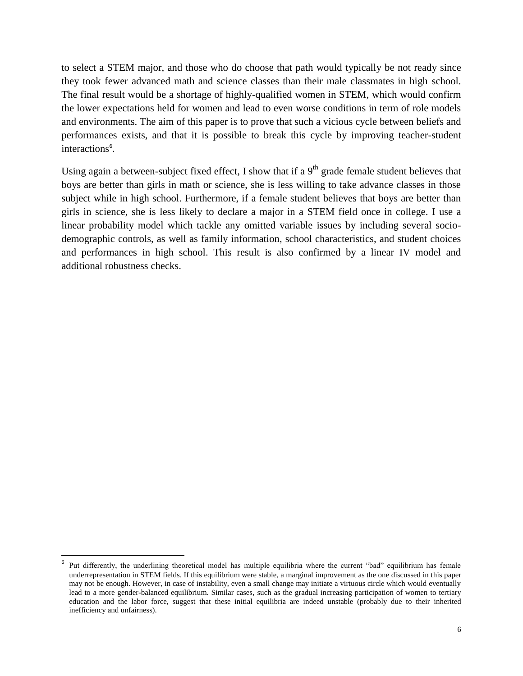to select a STEM major, and those who do choose that path would typically be not ready since they took fewer advanced math and science classes than their male classmates in high school. The final result would be a shortage of highly-qualified women in STEM, which would confirm the lower expectations held for women and lead to even worse conditions in term of role models and environments. The aim of this paper is to prove that such a vicious cycle between beliefs and performances exists, and that it is possible to break this cycle by improving teacher-student interactions<sup>6</sup>.

Using again a between-subject fixed effect, I show that if a  $9<sup>th</sup>$  grade female student believes that boys are better than girls in math or science, she is less willing to take advance classes in those subject while in high school. Furthermore, if a female student believes that boys are better than girls in science, she is less likely to declare a major in a STEM field once in college. I use a linear probability model which tackle any omitted variable issues by including several sociodemographic controls, as well as family information, school characteristics, and student choices and performances in high school. This result is also confirmed by a linear IV model and additional robustness checks.

 $\overline{\phantom{a}}$ 

<sup>6</sup> Put differently, the underlining theoretical model has multiple equilibria where the current "bad" equilibrium has female underrepresentation in STEM fields. If this equilibrium were stable, a marginal improvement as the one discussed in this paper may not be enough. However, in case of instability, even a small change may initiate a virtuous circle which would eventually lead to a more gender-balanced equilibrium. Similar cases, such as the gradual increasing participation of women to tertiary education and the labor force, suggest that these initial equilibria are indeed unstable (probably due to their inherited inefficiency and unfairness).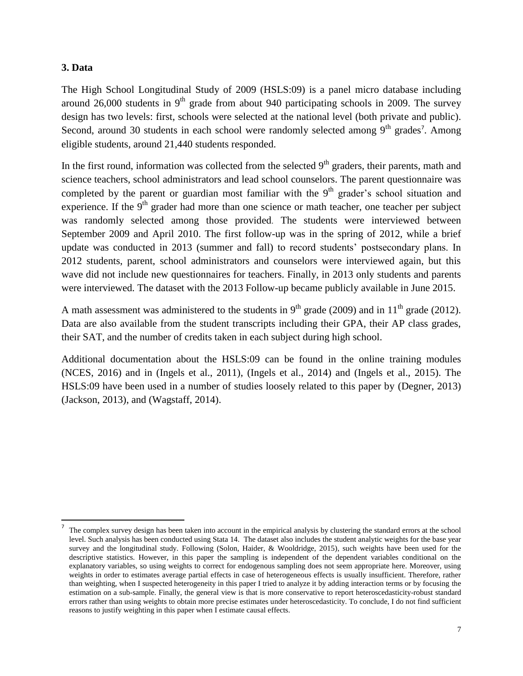### **3. Data**

l

The High School Longitudinal Study of 2009 (HSLS:09) is a panel micro database including around 26,000 students in  $9<sup>th</sup>$  grade from about 940 participating schools in 2009. The survey design has two levels: first, schools were selected at the national level (both private and public). Second, around 30 students in each school were randomly selected among  $9<sup>th</sup>$  grades<sup>7</sup>. Among eligible students, around 21,440 students responded.

In the first round, information was collected from the selected  $9<sup>th</sup>$  graders, their parents, math and science teachers, school administrators and lead school counselors. The parent questionnaire was completed by the parent or guardian most familiar with the  $9<sup>th</sup>$  grader's school situation and experience. If the  $9<sup>th</sup>$  grader had more than one science or math teacher, one teacher per subject was randomly selected among those provided. The students were interviewed between September 2009 and April 2010. The first follow-up was in the spring of 2012, while a brief update was conducted in 2013 (summer and fall) to record students' postsecondary plans. In 2012 students, parent, school administrators and counselors were interviewed again, but this wave did not include new questionnaires for teachers. Finally, in 2013 only students and parents were interviewed. The dataset with the 2013 Follow-up became publicly available in June 2015.

A math assessment was administered to the students in  $9<sup>th</sup>$  grade (2009) and in  $11<sup>th</sup>$  grade (2012). Data are also available from the student transcripts including their GPA, their AP class grades, their SAT, and the number of credits taken in each subject during high school.

Additional documentation about the HSLS:09 can be found in the online training modules (NCES, 2016) and in (Ingels et al., 2011), (Ingels et al., 2014) and (Ingels et al., 2015). The HSLS:09 have been used in a number of studies loosely related to this paper by (Degner, 2013) (Jackson, 2013), and (Wagstaff, 2014).

<sup>7</sup> The complex survey design has been taken into account in the empirical analysis by clustering the standard errors at the school level. Such analysis has been conducted using Stata 14. The dataset also includes the student analytic weights for the base year survey and the longitudinal study. Following (Solon, Haider, & Wooldridge, 2015), such weights have been used for the descriptive statistics. However, in this paper the sampling is independent of the dependent variables conditional on the explanatory variables, so using weights to correct for endogenous sampling does not seem appropriate here. Moreover, using weights in order to estimates average partial effects in case of heterogeneous effects is usually insufficient. Therefore, rather than weighting, when I suspected heterogeneity in this paper I tried to analyze it by adding interaction terms or by focusing the estimation on a sub-sample. Finally, the general view is that is more conservative to report heteroscedasticity-robust standard errors rather than using weights to obtain more precise estimates under heteroscedasticity. To conclude, I do not find sufficient reasons to justify weighting in this paper when I estimate causal effects.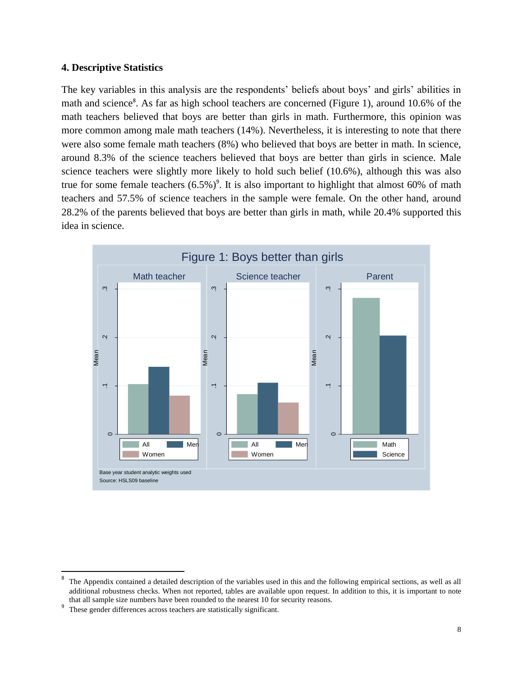### **4. Descriptive Statistics**

The key variables in this analysis are the respondents' beliefs about boys' and girls' abilities in math and science<sup>8</sup>. As far as high school teachers are concerned (Figure 1), around 10.6% of the math teachers believed that boys are better than girls in math. Furthermore, this opinion was more common among male math teachers (14%). Nevertheless, it is interesting to note that there were also some female math teachers (8%) who believed that boys are better in math. In science, around 8.3% of the science teachers believed that boys are better than girls in science. Male science teachers were slightly more likely to hold such belief (10.6%), although this was also true for some female teachers  $(6.5\%)^9$ . It is also important to highlight that almost 60% of math teachers and 57.5% of science teachers in the sample were female. On the other hand, around 28.2% of the parents believed that boys are better than girls in math, while 20.4% supported this idea in science.



<sup>-&</sup>lt;br>8 The Appendix contained a detailed description of the variables used in this and the following empirical sections, as well as all additional robustness checks. When not reported, tables are available upon request. In addition to this, it is important to note that all sample size numbers have been rounded to the nearest 10 for security reasons.

<sup>9</sup> These gender differences across teachers are statistically significant.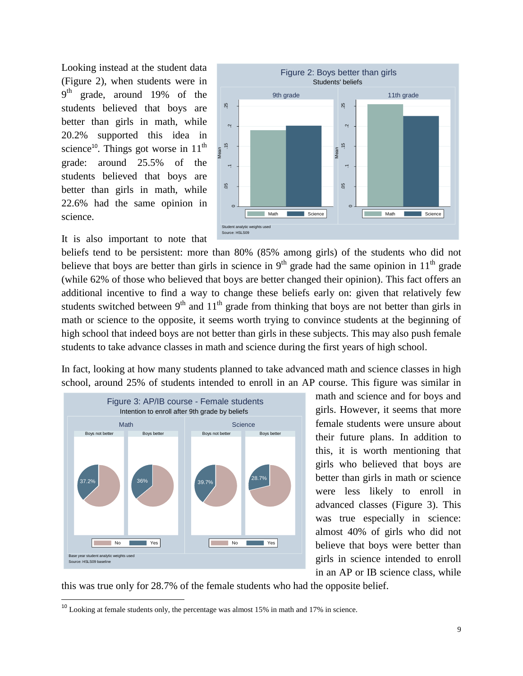Looking instead at the student data (Figure 2), when students were in 9<sup>th</sup> grade, around 19% of the students believed that boys are better than girls in math, while 20.2% supported this idea in science<sup>10</sup>. Things got worse in  $11<sup>th</sup>$ grade: around 25.5% of the students believed that boys are better than girls in math, while 22.6% had the same opinion in science.



 $\overline{\phantom{a}}$ 



beliefs tend to be persistent: more than 80% (85% among girls) of the students who did not believe that boys are better than girls in science in  $9<sup>th</sup>$  grade had the same opinion in  $11<sup>th</sup>$  grade (while 62% of those who believed that boys are better changed their opinion). This fact offers an additional incentive to find a way to change these beliefs early on: given that relatively few students switched between  $9<sup>th</sup>$  and  $11<sup>th</sup>$  grade from thinking that boys are not better than girls in math or science to the opposite, it seems worth trying to convince students at the beginning of high school that indeed boys are not better than girls in these subjects. This may also push female students to take advance classes in math and science during the first years of high school.

In fact, looking at how many students planned to take advanced math and science classes in high school, around 25% of students intended to enroll in an AP course. This figure was similar in



math and science and for boys and girls. However, it seems that more female students were unsure about their future plans. In addition to this, it is worth mentioning that girls who believed that boys are better than girls in math or science were less likely to enroll in advanced classes (Figure 3). This was true especially in science: almost 40% of girls who did not believe that boys were better than girls in science intended to enroll in an AP or IB science class, while

this was true only for 28.7% of the female students who had the opposite belief.

<sup>&</sup>lt;sup>10</sup> Looking at female students only, the percentage was almost 15% in math and 17% in science.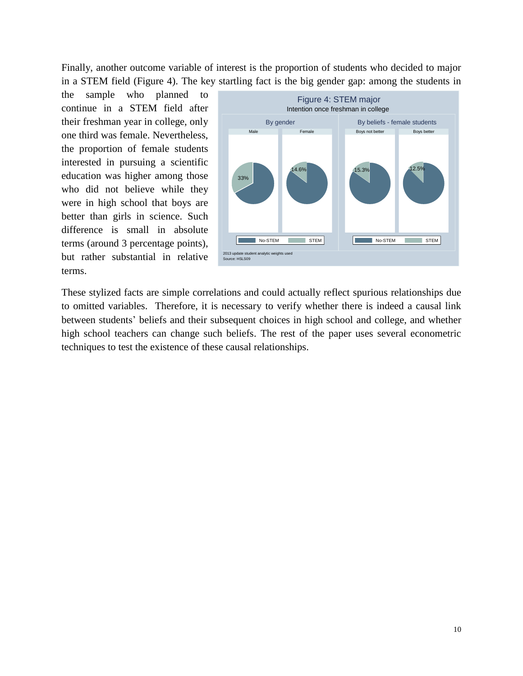Finally, another outcome variable of interest is the proportion of students who decided to major in a STEM field (Figure 4). The key startling fact is the big gender gap: among the students in

the sample who planned to continue in a STEM field after their freshman year in college, only one third was female. Nevertheless, the proportion of female students interested in pursuing a scientific education was higher among those who did not believe while they were in high school that boys are better than girls in science. Such difference is small in absolute terms (around 3 percentage points), but rather substantial in relative terms.



These stylized facts are simple correlations and could actually reflect spurious relationships due to omitted variables. Therefore, it is necessary to verify whether there is indeed a causal link between students' beliefs and their subsequent choices in high school and college, and whether high school teachers can change such beliefs. The rest of the paper uses several econometric techniques to test the existence of these causal relationships.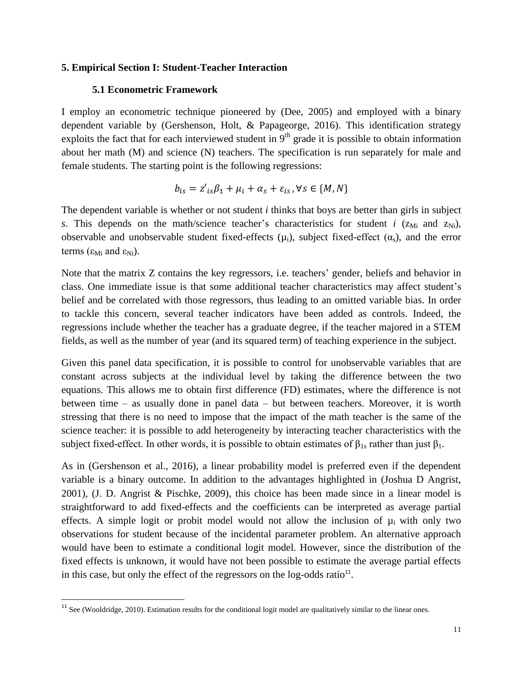### **5. Empirical Section I: Student-Teacher Interaction**

#### **5.1 Econometric Framework**

I employ an econometric technique pioneered by (Dee, 2005) and employed with a binary dependent variable by (Gershenson, Holt, & Papageorge, 2016). This identification strategy exploits the fact that for each interviewed student in  $9<sup>th</sup>$  grade it is possible to obtain information about her math (M) and science (N) teachers. The specification is run separately for male and female students. The starting point is the following regressions:

$$
b_{is} = z'_{is}\beta_1 + \mu_i + \alpha_s + \varepsilon_{is}, \forall s \in \{M, N\}
$$

The dependent variable is whether or not student *i* thinks that boys are better than girls in subject *s*. This depends on the math/science teacher's characteristics for student *i* ( $z_{\text{Mi}}$  and  $z_{\text{Ni}}$ ), observable and unobservable student fixed-effects  $(\mu_i)$ , subject fixed-effect  $(\alpha_s)$ , and the error terms ( $\epsilon_{\text{Mi}}$  and  $\epsilon_{\text{Ni}}$ ).

Note that the matrix Z contains the key regressors, i.e. teachers' gender, beliefs and behavior in class. One immediate issue is that some additional teacher characteristics may affect student's belief and be correlated with those regressors, thus leading to an omitted variable bias. In order to tackle this concern, several teacher indicators have been added as controls. Indeed, the regressions include whether the teacher has a graduate degree, if the teacher majored in a STEM fields, as well as the number of year (and its squared term) of teaching experience in the subject.

Given this panel data specification, it is possible to control for unobservable variables that are constant across subjects at the individual level by taking the difference between the two equations. This allows me to obtain first difference (FD) estimates, where the difference is not between time – as usually done in panel data – but between teachers. Moreover, it is worth stressing that there is no need to impose that the impact of the math teacher is the same of the science teacher: it is possible to add heterogeneity by interacting teacher characteristics with the subject fixed-effect. In other words, it is possible to obtain estimates of  $\beta_{1s}$  rather than just  $\beta_1$ .

As in (Gershenson et al., 2016), a linear probability model is preferred even if the dependent variable is a binary outcome. In addition to the advantages highlighted in (Joshua D Angrist, 2001), (J. D. Angrist & Pischke, 2009), this choice has been made since in a linear model is straightforward to add fixed-effects and the coefficients can be interpreted as average partial effects. A simple logit or probit model would not allow the inclusion of  $\mu_i$  with only two observations for student because of the incidental parameter problem. An alternative approach would have been to estimate a conditional logit model. However, since the distribution of the fixed effects is unknown, it would have not been possible to estimate the average partial effects in this case, but only the effect of the regressors on the  $log$ -odds ratio $<sup>11</sup>$ .</sup>

 $\overline{\phantom{a}}$ 

<sup>&</sup>lt;sup>11</sup> See (Wooldridge, 2010). Estimation results for the conditional logit model are qualitatively similar to the linear ones.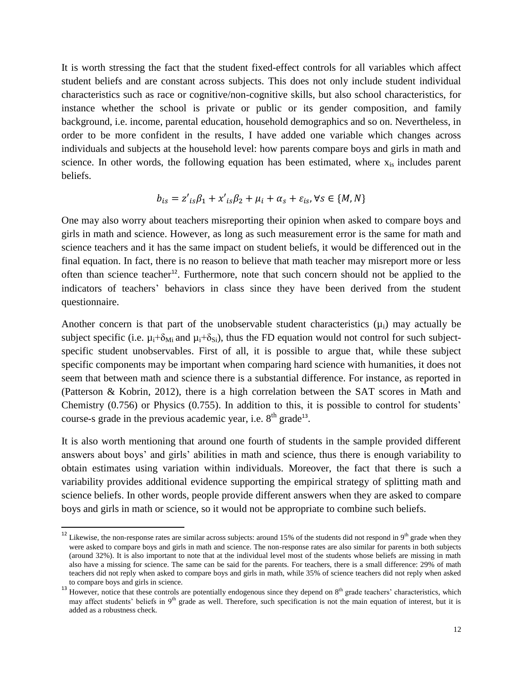It is worth stressing the fact that the student fixed-effect controls for all variables which affect student beliefs and are constant across subjects. This does not only include student individual characteristics such as race or cognitive/non-cognitive skills, but also school characteristics, for instance whether the school is private or public or its gender composition, and family background, i.e. income, parental education, household demographics and so on. Nevertheless, in order to be more confident in the results, I have added one variable which changes across individuals and subjects at the household level: how parents compare boys and girls in math and science. In other words, the following equation has been estimated, where  $x_{is}$  includes parent beliefs.

$$
b_{is} = z'_{is}\beta_1 + x'_{is}\beta_2 + \mu_i + \alpha_s + \varepsilon_{is}, \forall s \in \{M, N\}
$$

One may also worry about teachers misreporting their opinion when asked to compare boys and girls in math and science. However, as long as such measurement error is the same for math and science teachers and it has the same impact on student beliefs, it would be differenced out in the final equation. In fact, there is no reason to believe that math teacher may misreport more or less often than science teacher<sup>12</sup>. Furthermore, note that such concern should not be applied to the indicators of teachers' behaviors in class since they have been derived from the student questionnaire.

Another concern is that part of the unobservable student characteristics  $(\mu_i)$  may actually be subject specific (i.e.  $\mu_i+\delta_{Mi}$  and  $\mu_i+\delta_{Si}$ ), thus the FD equation would not control for such subjectspecific student unobservables. First of all, it is possible to argue that, while these subject specific components may be important when comparing hard science with humanities, it does not seem that between math and science there is a substantial difference. For instance, as reported in (Patterson & Kobrin, 2012), there is a high correlation between the SAT scores in Math and Chemistry (0.756) or Physics (0.755). In addition to this, it is possible to control for students' course-s grade in the previous academic year, i.e.  $8<sup>th</sup>$  grade<sup>13</sup>.

It is also worth mentioning that around one fourth of students in the sample provided different answers about boys' and girls' abilities in math and science, thus there is enough variability to obtain estimates using variation within individuals. Moreover, the fact that there is such a variability provides additional evidence supporting the empirical strategy of splitting math and science beliefs. In other words, people provide different answers when they are asked to compare boys and girls in math or science, so it would not be appropriate to combine such beliefs.

 $\overline{a}$ 

<sup>&</sup>lt;sup>12</sup> Likewise, the non-response rates are similar across subjects: around 15% of the students did not respond in 9<sup>th</sup> grade when they were asked to compare boys and girls in math and science. The non-response rates are also similar for parents in both subjects (around 32%). It is also important to note that at the individual level most of the students whose beliefs are missing in math also have a missing for science. The same can be said for the parents. For teachers, there is a small difference: 29% of math teachers did not reply when asked to compare boys and girls in math, while 35% of science teachers did not reply when asked to compare boys and girls in science.

<sup>13</sup> However, notice that these controls are potentially endogenous since they depend on  $8<sup>th</sup>$  grade teachers' characteristics, which may affect students' beliefs in  $9<sup>th</sup>$  grade as well. Therefore, such specification is not the main equation of interest, but it is added as a robustness check.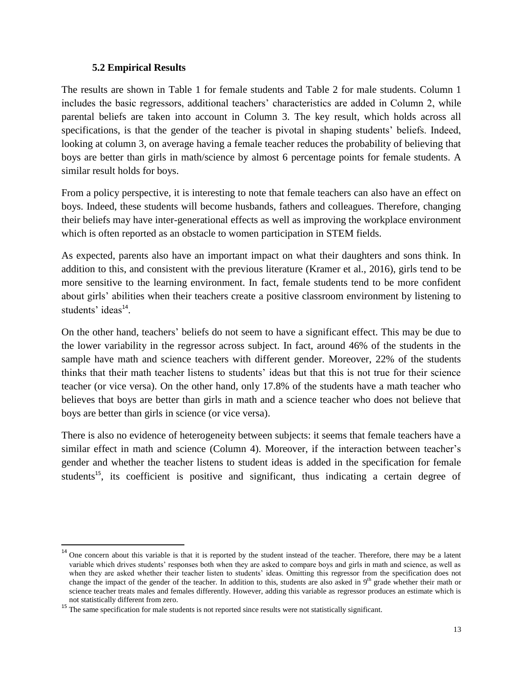### **5.2 Empirical Results**

 $\overline{a}$ 

The results are shown in Table 1 for female students and Table 2 for male students. Column 1 includes the basic regressors, additional teachers' characteristics are added in Column 2, while parental beliefs are taken into account in Column 3. The key result, which holds across all specifications, is that the gender of the teacher is pivotal in shaping students' beliefs. Indeed, looking at column 3, on average having a female teacher reduces the probability of believing that boys are better than girls in math/science by almost 6 percentage points for female students. A similar result holds for boys.

From a policy perspective, it is interesting to note that female teachers can also have an effect on boys. Indeed, these students will become husbands, fathers and colleagues. Therefore, changing their beliefs may have inter-generational effects as well as improving the workplace environment which is often reported as an obstacle to women participation in STEM fields.

As expected, parents also have an important impact on what their daughters and sons think. In addition to this, and consistent with the previous literature (Kramer et al., 2016), girls tend to be more sensitive to the learning environment. In fact, female students tend to be more confident about girls' abilities when their teachers create a positive classroom environment by listening to students' ideas<sup>14</sup>.

On the other hand, teachers' beliefs do not seem to have a significant effect. This may be due to the lower variability in the regressor across subject. In fact, around 46% of the students in the sample have math and science teachers with different gender. Moreover, 22% of the students thinks that their math teacher listens to students' ideas but that this is not true for their science teacher (or vice versa). On the other hand, only 17.8% of the students have a math teacher who believes that boys are better than girls in math and a science teacher who does not believe that boys are better than girls in science (or vice versa).

There is also no evidence of heterogeneity between subjects: it seems that female teachers have a similar effect in math and science (Column 4). Moreover, if the interaction between teacher's gender and whether the teacher listens to student ideas is added in the specification for female students<sup>15</sup>, its coefficient is positive and significant, thus indicating a certain degree of

<sup>&</sup>lt;sup>14</sup> One concern about this variable is that it is reported by the student instead of the teacher. Therefore, there may be a latent variable which drives students' responses both when they are asked to compare boys and girls in math and science, as well as when they are asked whether their teacher listen to students' ideas. Omitting this regressor from the specification does not change the impact of the gender of the teacher. In addition to this, students are also asked in 9<sup>th</sup> grade whether their math or science teacher treats males and females differently. However, adding this variable as regressor produces an estimate which is not statistically different from zero.

<sup>&</sup>lt;sup>15</sup> The same specification for male students is not reported since results were not statistically significant.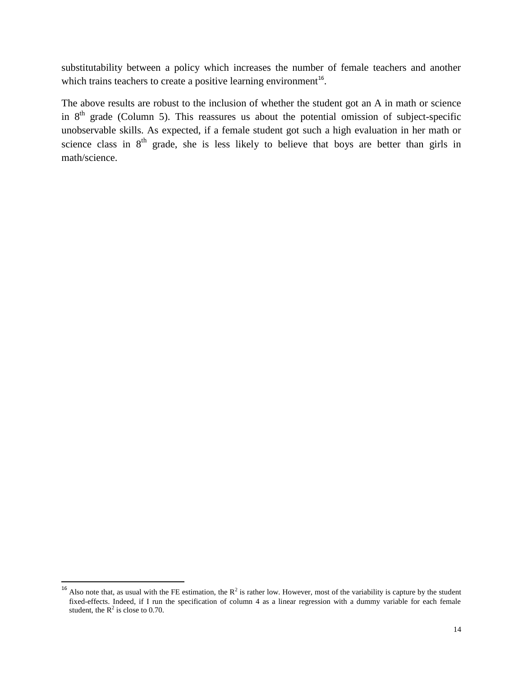substitutability between a policy which increases the number of female teachers and another which trains teachers to create a positive learning environment $16$ .

The above results are robust to the inclusion of whether the student got an A in math or science in  $8<sup>th</sup>$  grade (Column 5). This reassures us about the potential omission of subject-specific unobservable skills. As expected, if a female student got such a high evaluation in her math or science class in  $8<sup>th</sup>$  grade, she is less likely to believe that boys are better than girls in math/science.

 $\overline{\phantom{a}}$ 

<sup>&</sup>lt;sup>16</sup> Also note that, as usual with the FE estimation, the  $R^2$  is rather low. However, most of the variability is capture by the student fixed-effects. Indeed, if I run the specification of column 4 as a linear regression with a dummy variable for each female student, the  $R^2$  is close to 0.70.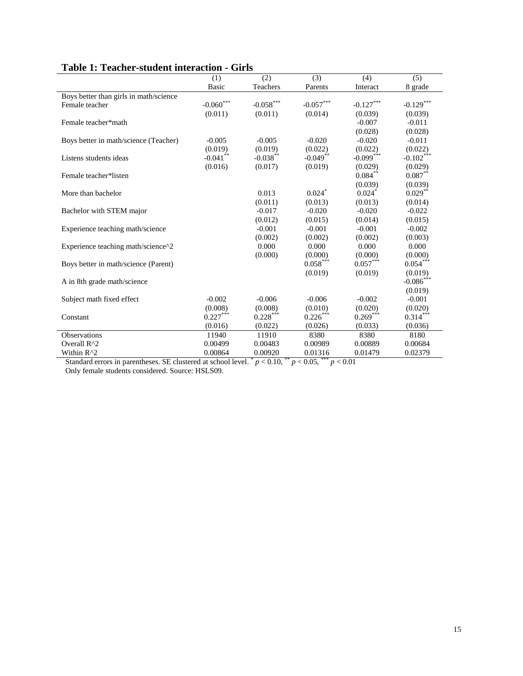|                                        | (1)          | (2)                              | (3)              | (4)          | (5)          |
|----------------------------------------|--------------|----------------------------------|------------------|--------------|--------------|
|                                        | <b>Basic</b> | Teachers                         | Parents          | Interact     | 8 grade      |
| Boys better than girls in math/science |              |                                  |                  |              |              |
| Female teacher                         | $-0.060$     | $\textbf{-0.058}^{\ast\ast\ast}$ | $-0.057^{***}\,$ | $-0.127***$  | $-0.129***$  |
|                                        | (0.011)      | (0.011)                          | (0.014)          | (0.039)      | (0.039)      |
| Female teacher*math                    |              |                                  |                  | $-0.007$     | $-0.011$     |
|                                        |              |                                  |                  | (0.028)      | (0.028)      |
| Boys better in math/science (Teacher)  | $-0.005$     | $-0.005$                         | $-0.020$         | $-0.020$     | $-0.011$     |
|                                        | (0.019)      | (0.019)                          | (0.022)          | (0.022)      | (0.022)      |
| Listens students ideas                 | $-0.041$ **  | $-0.038***$                      | $-0.049$ **      | $-0.099$ *** | $-0.102$ *** |
|                                        | (0.016)      | (0.017)                          | (0.019)          | (0.029)      | (0.029)      |
| Female teacher*listen                  |              |                                  |                  | $0.084***$   | $0.087***$   |
|                                        |              |                                  |                  | (0.039)      | (0.039)      |
| More than bachelor                     |              | 0.013                            | 0.024            | $0.024$ *    | $0.029***$   |
|                                        |              | (0.011)                          | (0.013)          | (0.013)      | (0.014)      |
| Bachelor with STEM major               |              | $-0.017$                         | $-0.020$         | $-0.020$     | $-0.022$     |
|                                        |              | (0.012)                          | (0.015)          | (0.014)      | (0.015)      |
| Experience teaching math/science       |              | $-0.001$                         | $-0.001$         | $-0.001$     | $-0.002$     |
|                                        |              | (0.002)                          | (0.002)          | (0.002)      | (0.003)      |
| Experience teaching math/science^2     |              | 0.000                            | 0.000            | 0.000        | 0.000        |
|                                        |              | (0.000)                          | (0.000)          | (0.000)      | (0.000)      |
| Boys better in math/science (Parent)   |              |                                  | $0.058***$       | $0.057***$   | $0.054***$   |
|                                        |              |                                  | (0.019)          | (0.019)      | (0.019)      |
| A in 8th grade math/science            |              |                                  |                  |              | $-0.086$ *** |
|                                        |              |                                  |                  |              | (0.019)      |
| Subject math fixed effect              | $-0.002$     | $-0.006$                         | $-0.006$         | $-0.002$     | $-0.001$     |
|                                        | (0.008)      | (0.008)                          | (0.010)          | (0.020)      | (0.020)      |
| Constant                               | $0.227***$   | $0.228***$                       | $0.226***$       | $0.269***$   | $0.314***$   |
|                                        | (0.016)      | (0.022)                          | (0.026)          | (0.033)      | (0.036)      |
| <b>Observations</b>                    | 11940        | 11910                            | 8380             | 8380         | 8180         |
| Overall R^2                            | 0.00499      | 0.00483                          | 0.00989          | 0.00889      | 0.00684      |
| Within R^2                             | 0.00864      | 0.00920                          | 0.01316          | 0.01479      | 0.02379      |

### **Table 1: Teacher-student interaction - Girls**

Standard errors in parentheses. SE clustered at school level.  $p < 0.10$ ,  $p < 0.05$ ,  $p < 0.01$ 

Only female students considered. Source: HSLS09.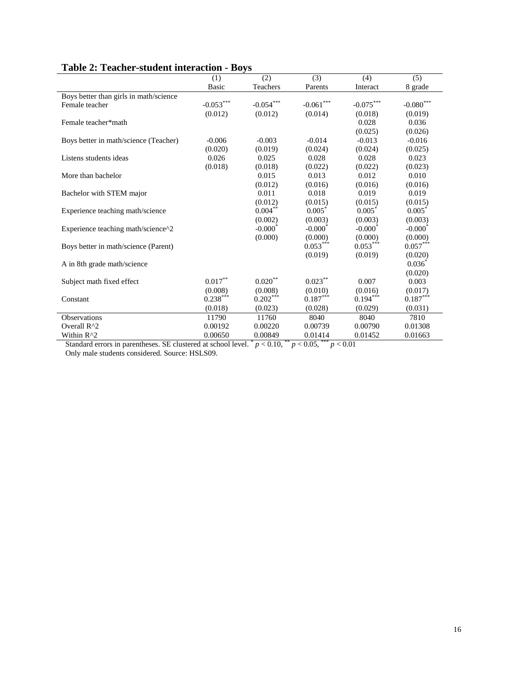|                                        | (1)          | (2)         | (3)                              | (4)         | (5)                              |
|----------------------------------------|--------------|-------------|----------------------------------|-------------|----------------------------------|
|                                        | <b>Basic</b> | Teachers    | Parents                          | Interact    | 8 grade                          |
| Boys better than girls in math/science |              |             |                                  |             |                                  |
| Female teacher                         | $-0.053***$  | $-0.054***$ | $\textbf{-0.061}^{\ast\ast\ast}$ | $-0.075***$ | $\textbf{-0.080}^{\ast\ast\ast}$ |
|                                        | (0.012)      | (0.012)     | (0.014)                          | (0.018)     | (0.019)                          |
| Female teacher*math                    |              |             |                                  | 0.028       | 0.036                            |
|                                        |              |             |                                  | (0.025)     | (0.026)                          |
| Boys better in math/science (Teacher)  | $-0.006$     | $-0.003$    | $-0.014$                         | $-0.013$    | $-0.016$                         |
|                                        | (0.020)      | (0.019)     | (0.024)                          | (0.024)     | (0.025)                          |
| Listens students ideas                 | 0.026        | 0.025       | 0.028                            | 0.028       | 0.023                            |
|                                        | (0.018)      | (0.018)     | (0.022)                          | (0.022)     | (0.023)                          |
| More than bachelor                     |              | 0.015       | 0.013                            | 0.012       | 0.010                            |
|                                        |              | (0.012)     | (0.016)                          | (0.016)     | (0.016)                          |
| Bachelor with STEM major               |              | 0.011       | 0.018                            | 0.019       | 0.019                            |
|                                        |              | (0.012)     | (0.015)                          | (0.015)     | (0.015)                          |
| Experience teaching math/science       |              | $0.004***$  | $0.005*$                         | $0.005*$    | $0.005*$                         |
|                                        |              | (0.002)     | (0.003)                          | (0.003)     | (0.003)                          |
| Experience teaching math/science^2     |              | $-0.000*$   | $-0.000*$                        | $-0.000*$   | $-0.000*$                        |
|                                        |              | (0.000)     | (0.000)                          | (0.000)     | (0.000)                          |
| Boys better in math/science (Parent)   |              |             | $0.053***$                       | $0.053***$  | $0.057***$                       |
|                                        |              |             | (0.019)                          | (0.019)     | (0.020)                          |
| A in 8th grade math/science            |              |             |                                  |             | $0.036^*$                        |
|                                        |              |             |                                  |             | (0.020)                          |
| Subject math fixed effect              | $0.017***$   | $0.020**$   | $0.023***$                       | 0.007       | 0.003                            |
|                                        | (0.008)      | (0.008)     | (0.010)                          | (0.016)     | (0.017)                          |
| Constant                               | $0.238***$   | $0.202***$  | $0.187***$                       | $0.194***$  | $0.187***$                       |
|                                        | (0.018)      | (0.023)     | (0.028)                          | (0.029)     | (0.031)                          |
| <b>Observations</b>                    | 11790        | 11760       | 8040                             | 8040        | 7810                             |
| Overall R^2                            | 0.00192      | 0.00220     | 0.00739                          | 0.00790     | 0.01308                          |
| Within R^2                             | 0.00650      | 0.00849     | 0.01414                          | 0.01452     | 0.01663                          |

## **Table 2: Teacher-student interaction - Boys**

Standard errors in parentheses. SE clustered at school level.  $p < 0.10$ ,  $p < 0.05$ ,  $p < 0.01$ 

Only male students considered. Source: HSLS09.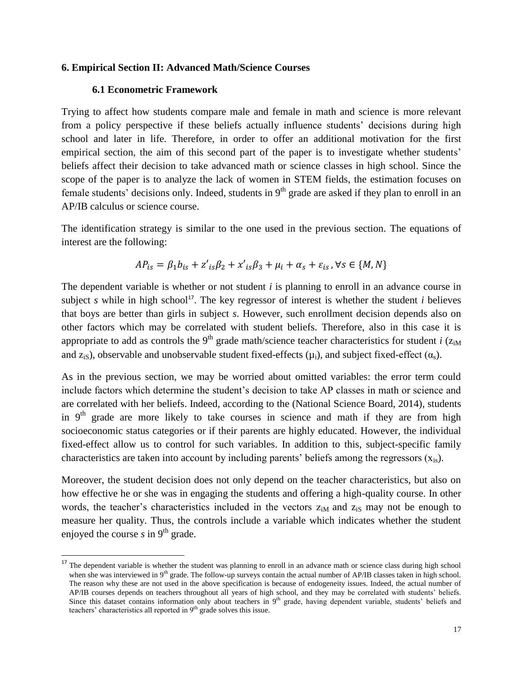### **6. Empirical Section II: Advanced Math/Science Courses**

### **6.1 Econometric Framework**

 $\overline{\phantom{a}}$ 

Trying to affect how students compare male and female in math and science is more relevant from a policy perspective if these beliefs actually influence students' decisions during high school and later in life. Therefore, in order to offer an additional motivation for the first empirical section, the aim of this second part of the paper is to investigate whether students' beliefs affect their decision to take advanced math or science classes in high school. Since the scope of the paper is to analyze the lack of women in STEM fields, the estimation focuses on female students' decisions only. Indeed, students in  $9<sup>th</sup>$  grade are asked if they plan to enroll in an AP/IB calculus or science course.

The identification strategy is similar to the one used in the previous section. The equations of interest are the following:

$$
AP_{is} = \beta_1 b_{is} + z'_{is}\beta_2 + x'_{is}\beta_3 + \mu_i + \alpha_s + \varepsilon_{is}, \forall s \in \{M, N\}
$$

The dependent variable is whether or not student *i* is planning to enroll in an advance course in subject *s* while in high school<sup>17</sup>. The key regressor of interest is whether the student *i* believes that boys are better than girls in subject *s*. However, such enrollment decision depends also on other factors which may be correlated with student beliefs. Therefore, also in this case it is appropriate to add as controls the 9<sup>th</sup> grade math/science teacher characteristics for student *i* ( $z_{\text{in}}$ ) and  $z_{iS}$ ), observable and unobservable student fixed-effects ( $\mu_i$ ), and subject fixed-effect ( $\alpha_s$ ).

As in the previous section, we may be worried about omitted variables: the error term could include factors which determine the student's decision to take AP classes in math or science and are correlated with her beliefs. Indeed, according to the (National Science Board, 2014), students in  $9<sup>th</sup>$  grade are more likely to take courses in science and math if they are from high socioeconomic status categories or if their parents are highly educated. However, the individual fixed-effect allow us to control for such variables. In addition to this, subject-specific family characteristics are taken into account by including parents' beliefs among the regressors  $(x_{is})$ .

Moreover, the student decision does not only depend on the teacher characteristics, but also on how effective he or she was in engaging the students and offering a high-quality course. In other words, the teacher's characteristics included in the vectors  $z_{iM}$  and  $z_{iS}$  may not be enough to measure her quality. Thus, the controls include a variable which indicates whether the student enjoyed the course  $s$  in  $9<sup>th</sup>$  grade.

<sup>&</sup>lt;sup>17</sup> The dependent variable is whether the student was planning to enroll in an advance math or science class during high school when she was interviewed in 9<sup>th</sup> grade. The follow-up surveys contain the actual number of AP/IB classes taken in high school. The reason why these are not used in the above specification is because of endogeneity issues. Indeed, the actual number of AP/IB courses depends on teachers throughout all years of high school, and they may be correlated with students' beliefs. Since this dataset contains information only about teachers in 9<sup>th</sup> grade, having dependent variable, students' beliefs and teachers' characteristics all reported in  $9<sup>th</sup>$  grade solves this issue.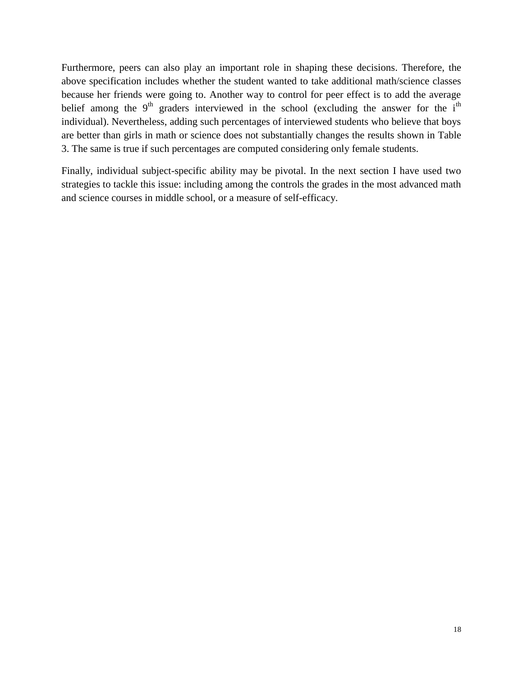Furthermore, peers can also play an important role in shaping these decisions. Therefore, the above specification includes whether the student wanted to take additional math/science classes because her friends were going to. Another way to control for peer effect is to add the average belief among the  $9<sup>th</sup>$  graders interviewed in the school (excluding the answer for the i<sup>th</sup> individual). Nevertheless, adding such percentages of interviewed students who believe that boys are better than girls in math or science does not substantially changes the results shown in Table 3. The same is true if such percentages are computed considering only female students.

Finally, individual subject-specific ability may be pivotal. In the next section I have used two strategies to tackle this issue: including among the controls the grades in the most advanced math and science courses in middle school, or a measure of self-efficacy.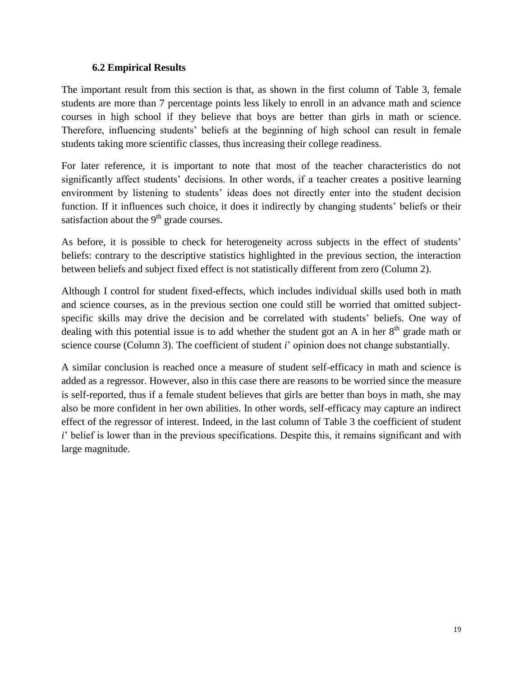### **6.2 Empirical Results**

The important result from this section is that, as shown in the first column of Table 3, female students are more than 7 percentage points less likely to enroll in an advance math and science courses in high school if they believe that boys are better than girls in math or science. Therefore, influencing students' beliefs at the beginning of high school can result in female students taking more scientific classes, thus increasing their college readiness.

For later reference, it is important to note that most of the teacher characteristics do not significantly affect students' decisions. In other words, if a teacher creates a positive learning environment by listening to students' ideas does not directly enter into the student decision function. If it influences such choice, it does it indirectly by changing students' beliefs or their satisfaction about the  $9<sup>th</sup>$  grade courses.

As before, it is possible to check for heterogeneity across subjects in the effect of students' beliefs: contrary to the descriptive statistics highlighted in the previous section, the interaction between beliefs and subject fixed effect is not statistically different from zero (Column 2).

Although I control for student fixed-effects, which includes individual skills used both in math and science courses, as in the previous section one could still be worried that omitted subjectspecific skills may drive the decision and be correlated with students' beliefs. One way of dealing with this potential issue is to add whether the student got an A in her  $8<sup>th</sup>$  grade math or science course (Column 3). The coefficient of student *i*' opinion does not change substantially.

A similar conclusion is reached once a measure of student self-efficacy in math and science is added as a regressor. However, also in this case there are reasons to be worried since the measure is self-reported, thus if a female student believes that girls are better than boys in math, she may also be more confident in her own abilities. In other words, self-efficacy may capture an indirect effect of the regressor of interest. Indeed, in the last column of Table 3 the coefficient of student *i*' belief is lower than in the previous specifications. Despite this, it remains significant and with large magnitude.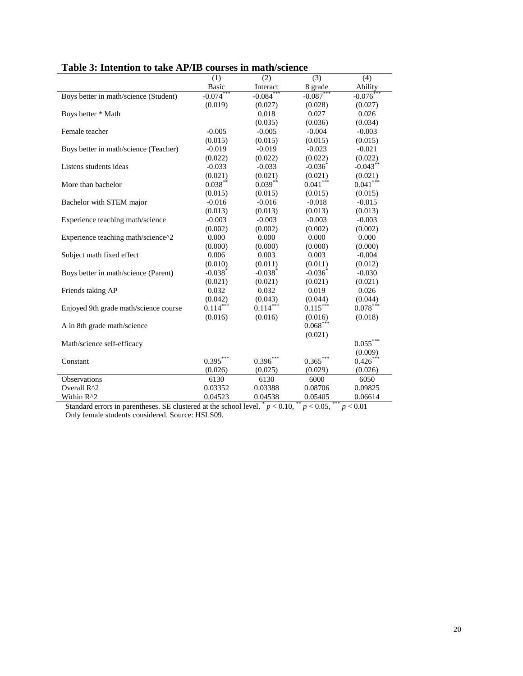|                                       |                       |                       | (3)         |                |
|---------------------------------------|-----------------------|-----------------------|-------------|----------------|
|                                       | (1)<br><b>Basic</b>   | (2)<br>Interact       | 8 grade     | (4)<br>Ability |
| Boys better in math/science (Student) | $-0.074$ ***          | $-0.084$ <sup>*</sup> | $-0.087$ ** | $-0.076$       |
|                                       | (0.019)               |                       |             |                |
|                                       |                       | (0.027)               | (0.028)     | (0.027)        |
| Boys better * Math                    |                       | 0.018                 | 0.027       | 0.026          |
|                                       |                       | (0.035)               | (0.036)     | (0.034)        |
| Female teacher                        | $-0.005$              | $-0.005$              | $-0.004$    | $-0.003$       |
|                                       | (0.015)               | (0.015)               | (0.015)     | (0.015)        |
| Boys better in math/science (Teacher) | $-0.019$              | $-0.019$              | $-0.023$    | $-0.021$       |
|                                       | (0.022)               | (0.022)               | (0.022)     | (0.022)        |
| Listens students ideas                | $-0.033$              | $-0.033$              | $-0.036$    | $-0.043**$     |
|                                       | (0.021)               | (0.021)               | (0.021)     | (0.021)        |
| More than bachelor                    | $0.038***$            | $0.039***$            | $0.041***$  | $0.041***$     |
|                                       | (0.015)               | (0.015)               | (0.015)     | (0.015)        |
| Bachelor with STEM major              | $-0.016$              | $-0.016$              | $-0.018$    | $-0.015$       |
|                                       | (0.013)               | (0.013)               | (0.013)     | (0.013)        |
| Experience teaching math/science      | $-0.003$              | $-0.003$              | $-0.003$    | $-0.003$       |
|                                       | (0.002)               | (0.002)               | (0.002)     | (0.002)        |
| Experience teaching math/science^2    | 0.000                 | 0.000                 | 0.000       | 0.000          |
|                                       | (0.000)               | (0.000)               | (0.000)     | (0.000)        |
| Subject math fixed effect             | 0.006                 | 0.003                 | 0.003       | $-0.004$       |
|                                       | (0.010)               | (0.011)               | (0.011)     | (0.012)        |
| Boys better in math/science (Parent)  | $-0.038$ <sup>*</sup> | $-0.038$ *            | $-0.036$    | $-0.030$       |
|                                       | (0.021)               | (0.021)               | (0.021)     | (0.021)        |
| Friends taking AP                     | 0.032                 | 0.032                 | 0.019       | 0.026          |
|                                       | (0.042)               | (0.043)               | (0.044)     | (0.044)        |
| Enjoyed 9th grade math/science course | $0.114***$            | $0.114***$            | $0.115***$  | $0.078***$     |
|                                       | (0.016)               | (0.016)               | (0.016)     | (0.018)        |
| A in 8th grade math/science           |                       |                       | $0.068***$  |                |
|                                       |                       |                       | (0.021)     |                |
| Math/science self-efficacy            |                       |                       |             | $0.055***$     |
|                                       |                       |                       |             | (0.009)        |
| Constant                              | $0.395***$            | $0.396***$            | $0.365***$  | $0.426***$     |
|                                       | (0.026)               | (0.025)               | (0.029)     | (0.026)        |
| Observations                          | 6130                  | 6130                  | 6000        | 6050           |
| Overall R^2                           | 0.03352               | 0.03388               | 0.08706     | 0.09825        |
|                                       |                       |                       |             |                |
| Within R^2                            | 0.04523               | 0.04538               | 0.05405     | 0.06614        |

## **Table 3: Intention to take AP/IB courses in math/science**

Standard errors in parentheses. SE clustered at the school level.  $p < 0.10$ ,  $p < 0.05$ ,  $p < 0.01$ Only female students considered. Source: HSLS09.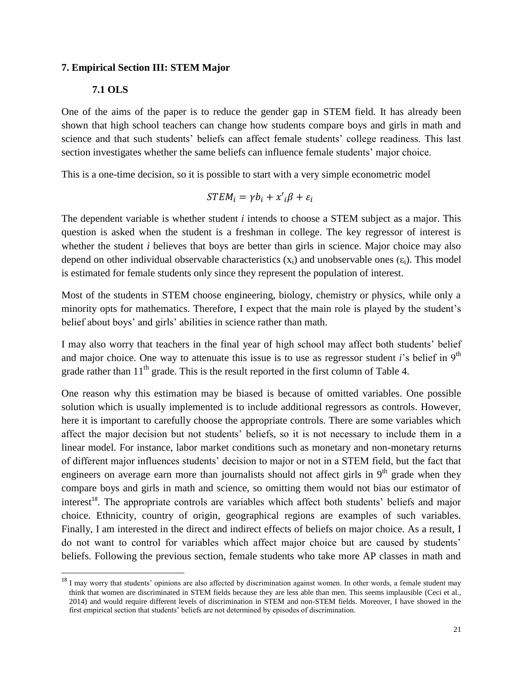### **7. Empirical Section III: STEM Major**

### **7.1 OLS**

 $\overline{a}$ 

One of the aims of the paper is to reduce the gender gap in STEM field. It has already been shown that high school teachers can change how students compare boys and girls in math and science and that such students' beliefs can affect female students' college readiness. This last section investigates whether the same beliefs can influence female students' major choice.

This is a one-time decision, so it is possible to start with a very simple econometric model

$$
STEM_i = \gamma b_i + x'_{i} \beta + \varepsilon_i
$$

The dependent variable is whether student *i* intends to choose a STEM subject as a major. This question is asked when the student is a freshman in college. The key regressor of interest is whether the student *i* believes that boys are better than girls in science. Major choice may also depend on other individual observable characteristics  $(x_i)$  and unobservable ones  $(\epsilon_i)$ . This model is estimated for female students only since they represent the population of interest.

Most of the students in STEM choose engineering, biology, chemistry or physics, while only a minority opts for mathematics. Therefore, I expect that the main role is played by the student's belief about boys' and girls' abilities in science rather than math.

I may also worry that teachers in the final year of high school may affect both students' belief and major choice. One way to attenuate this issue is to use as regressor student *i*'s belief in 9<sup>th</sup> grade rather than  $11<sup>th</sup>$  grade. This is the result reported in the first column of Table 4.

One reason why this estimation may be biased is because of omitted variables. One possible solution which is usually implemented is to include additional regressors as controls. However, here it is important to carefully choose the appropriate controls. There are some variables which affect the major decision but not students' beliefs, so it is not necessary to include them in a linear model. For instance, labor market conditions such as monetary and non-monetary returns of different major influences students' decision to major or not in a STEM field, but the fact that engineers on average earn more than journalists should not affect girls in  $9<sup>th</sup>$  grade when they compare boys and girls in math and science, so omitting them would not bias our estimator of interest<sup>18</sup>. The appropriate controls are variables which affect both students' beliefs and major choice. Ethnicity, country of origin, geographical regions are examples of such variables. Finally, I am interested in the direct and indirect effects of beliefs on major choice. As a result, I do not want to control for variables which affect major choice but are caused by students' beliefs. Following the previous section, female students who take more AP classes in math and

<sup>&</sup>lt;sup>18</sup> I may worry that students' opinions are also affected by discrimination against women. In other words, a female student may think that women are discriminated in STEM fields because they are less able than men. This seems implausible (Ceci et al., 2014) and would require different levels of discrimination in STEM and non-STEM fields. Moreover, I have showed in the first empirical section that students' beliefs are not determined by episodes of discrimination.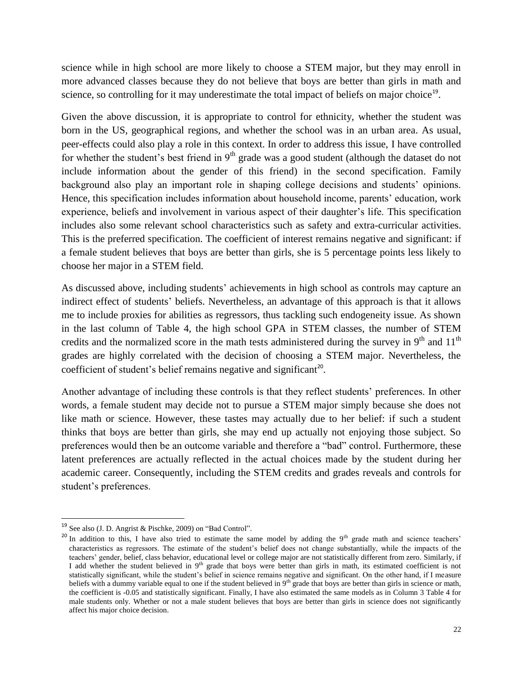science while in high school are more likely to choose a STEM major, but they may enroll in more advanced classes because they do not believe that boys are better than girls in math and science, so controlling for it may underestimate the total impact of beliefs on major choice<sup>19</sup>.

Given the above discussion, it is appropriate to control for ethnicity, whether the student was born in the US, geographical regions, and whether the school was in an urban area. As usual, peer-effects could also play a role in this context. In order to address this issue, I have controlled for whether the student's best friend in  $9<sup>th</sup>$  grade was a good student (although the dataset do not include information about the gender of this friend) in the second specification. Family background also play an important role in shaping college decisions and students' opinions. Hence, this specification includes information about household income, parents' education, work experience, beliefs and involvement in various aspect of their daughter's life. This specification includes also some relevant school characteristics such as safety and extra-curricular activities. This is the preferred specification. The coefficient of interest remains negative and significant: if a female student believes that boys are better than girls, she is 5 percentage points less likely to choose her major in a STEM field.

As discussed above, including students' achievements in high school as controls may capture an indirect effect of students' beliefs. Nevertheless, an advantage of this approach is that it allows me to include proxies for abilities as regressors, thus tackling such endogeneity issue. As shown in the last column of Table 4, the high school GPA in STEM classes, the number of STEM credits and the normalized score in the math tests administered during the survey in  $9<sup>th</sup>$  and  $11<sup>th</sup>$ grades are highly correlated with the decision of choosing a STEM major. Nevertheless, the coefficient of student's belief remains negative and significant<sup>20</sup>.

Another advantage of including these controls is that they reflect students' preferences. In other words, a female student may decide not to pursue a STEM major simply because she does not like math or science. However, these tastes may actually due to her belief: if such a student thinks that boys are better than girls, she may end up actually not enjoying those subject. So preferences would then be an outcome variable and therefore a "bad" control. Furthermore, these latent preferences are actually reflected in the actual choices made by the student during her academic career. Consequently, including the STEM credits and grades reveals and controls for student's preferences.

 $\overline{\phantom{a}}$ 

<sup>&</sup>lt;sup>19</sup> See also (J. D. Angrist & Pischke, 2009) on "Bad Control".

<sup>&</sup>lt;sup>20</sup> In addition to this, I have also tried to estimate the same model by adding the 9<sup>th</sup> grade math and science teachers' characteristics as regressors. The estimate of the student's belief does not change substantially, while the impacts of the teachers' gender, belief, class behavior, educational level or college major are not statistically different from zero. Similarly, if I add whether the student believed in 9<sup>th</sup> grade that boys were better than girls in math, its estimated coefficient is not statistically significant, while the student's belief in science remains negative and significant. On the other hand, if I measure beliefs with a dummy variable equal to one if the student believed in 9<sup>th</sup> grade that boys are better than girls in science or math, the coefficient is -0.05 and statistically significant. Finally, I have also estimated the same models as in Column 3 Table 4 for male students only. Whether or not a male student believes that boys are better than girls in science does not significantly affect his major choice decision.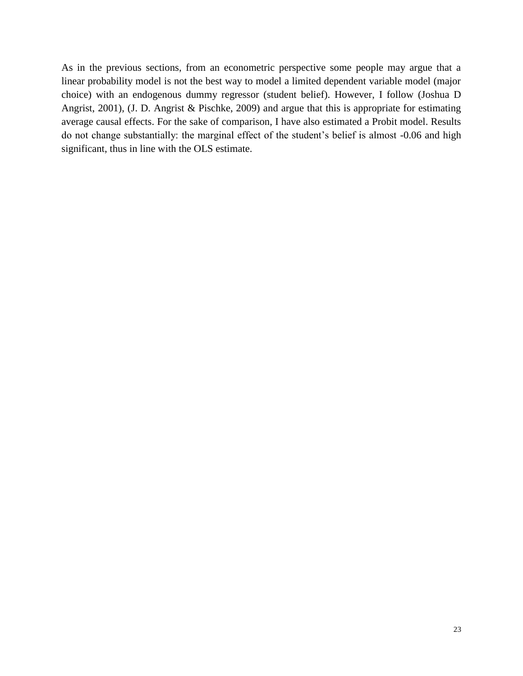As in the previous sections, from an econometric perspective some people may argue that a linear probability model is not the best way to model a limited dependent variable model (major choice) with an endogenous dummy regressor (student belief). However, I follow (Joshua D Angrist, 2001), (J. D. Angrist & Pischke, 2009) and argue that this is appropriate for estimating average causal effects. For the sake of comparison, I have also estimated a Probit model. Results do not change substantially: the marginal effect of the student's belief is almost -0.06 and high significant, thus in line with the OLS estimate.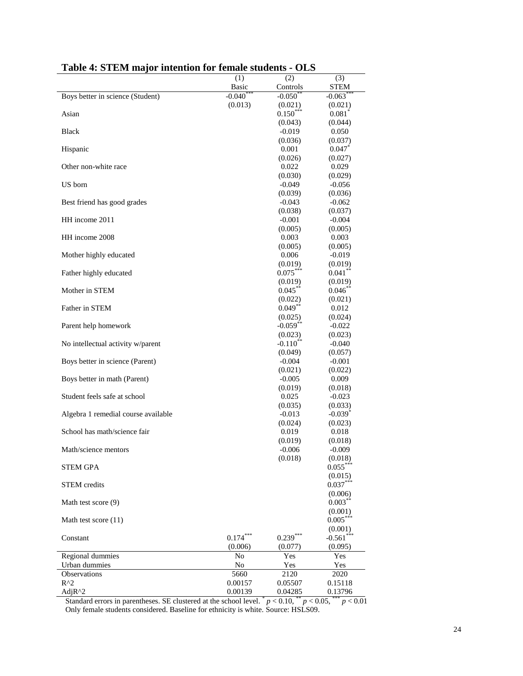|                                     | (1)             | (2)                               | (3)                 |
|-------------------------------------|-----------------|-----------------------------------|---------------------|
|                                     | <b>Basic</b>    | Controls                          | <b>STEM</b>         |
| Boys better in science (Student)    | $-0.040$        | $-0.050$ <sup>*</sup>             | $-0.063$            |
|                                     | (0.013)         | (0.021)                           | (0.021)             |
| Asian                               |                 | $0.150***$                        | $0.081^{\degree}$   |
|                                     |                 | (0.043)                           | (0.044)             |
| Black                               |                 | $-0.019$                          | 0.050               |
|                                     |                 | (0.036)                           | (0.037)             |
| Hispanic                            |                 | 0.001                             | 0.047               |
| Other non-white race                |                 | (0.026)                           | (0.027)             |
|                                     |                 | 0.022                             | 0.029               |
| US born                             |                 | (0.030)<br>$-0.049$               | (0.029)<br>$-0.056$ |
|                                     |                 | (0.039)                           | (0.036)             |
| Best friend has good grades         |                 | $-0.043$                          | $-0.062$            |
|                                     |                 | (0.038)                           | (0.037)             |
| HH income 2011                      |                 | $-0.001$                          | $-0.004$            |
|                                     |                 | (0.005)                           | (0.005)             |
| HH income 2008                      |                 | 0.003                             | 0.003               |
|                                     |                 | (0.005)                           | (0.005)             |
| Mother highly educated              |                 | 0.006                             | $-0.019$            |
|                                     |                 | (0.019)                           | (0.019)             |
| Father highly educated              |                 | $0.075***$                        | $0.041***$          |
|                                     |                 | (0.019)                           | (0.019)             |
| Mother in STEM                      |                 | $0.045***$                        | $0.046$ **          |
|                                     |                 | (0.022)                           | (0.021)             |
| Father in STEM                      |                 | $0.049**$                         | 0.012               |
| Parent help homework                |                 | (0.025)<br>$-0.059$ <sup>**</sup> | (0.024)<br>$-0.022$ |
|                                     |                 | (0.023)                           | (0.023)             |
| No intellectual activity w/parent   |                 | $-0.110**$                        | $-0.040$            |
|                                     |                 | (0.049)                           | (0.057)             |
| Boys better in science (Parent)     |                 | $-0.004$                          | $-0.001$            |
|                                     |                 | (0.021)                           | (0.022)             |
| Boys better in math (Parent)        |                 | $-0.005$                          | 0.009               |
|                                     |                 | (0.019)                           | (0.018)             |
| Student feels safe at school        |                 | 0.025                             | $-0.023$            |
|                                     |                 | (0.035)                           | (0.033)             |
| Algebra 1 remedial course available |                 | $-0.013$                          | $-0.039*$           |
|                                     |                 | (0.024)                           | (0.023)             |
| School has math/science fair        |                 | 0.019                             | 0.018               |
| Math/science mentors                |                 | (0.019)<br>$-0.006$               | (0.018)<br>$-0.009$ |
|                                     |                 | (0.018)                           | (0.018)             |
| <b>STEM GPA</b>                     |                 |                                   | $0.055***$          |
|                                     |                 |                                   | (0.015)             |
| STEM credits                        |                 |                                   | $0.037***$          |
|                                     |                 |                                   | (0.006)             |
| Math test score (9)                 |                 |                                   | $0.003***$          |
|                                     |                 |                                   | (0.001)             |
| Math test score (11)                |                 |                                   | $0.005***$          |
| Constant                            |                 |                                   | (0.001)             |
|                                     | $0.174***$      | $0.239***$                        | $-0.561$ ***        |
|                                     | (0.006)         | (0.077)                           | (0.095)             |
| Regional dummies                    | No              | Yes                               | Yes                 |
| Urban dummies                       | No              | Yes                               | Yes                 |
| Observations<br>$R^2$               | 5660<br>0.00157 | 2120<br>0.05507                   | 2020<br>0.15118     |
| Adj $R^2$                           | 0.00139         | 0.04285                           | 0.13796             |
|                                     |                 |                                   |                     |

### **Table 4: STEM major intention for female students - OLS**

Standard errors in parentheses. SE clustered at the school level.  $p < 0.10$ ,  $p < 0.05$ ,  $p < 0.01$ Only female students considered. Baseline for ethnicity is white. Source: HSLS09.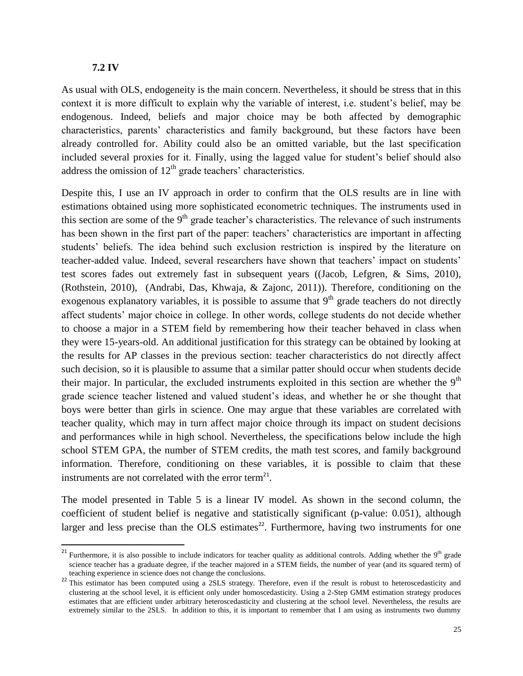### **7.2 IV**

 $\overline{a}$ 

As usual with OLS, endogeneity is the main concern. Nevertheless, it should be stress that in this context it is more difficult to explain why the variable of interest, i.e. student's belief, may be endogenous. Indeed, beliefs and major choice may be both affected by demographic characteristics, parents' characteristics and family background, but these factors have been already controlled for. Ability could also be an omitted variable, but the last specification included several proxies for it. Finally, using the lagged value for student's belief should also address the omission of  $12<sup>th</sup>$  grade teachers' characteristics.

Despite this, I use an IV approach in order to confirm that the OLS results are in line with estimations obtained using more sophisticated econometric techniques. The instruments used in this section are some of the  $9<sup>th</sup>$  grade teacher's characteristics. The relevance of such instruments has been shown in the first part of the paper: teachers' characteristics are important in affecting students' beliefs. The idea behind such exclusion restriction is inspired by the literature on teacher-added value. Indeed, several researchers have shown that teachers' impact on students' test scores fades out extremely fast in subsequent years ((Jacob, Lefgren, & Sims, 2010), (Rothstein, 2010), (Andrabi, Das, Khwaja, & Zajonc, 2011)). Therefore, conditioning on the exogenous explanatory variables, it is possible to assume that  $9<sup>th</sup>$  grade teachers do not directly affect students' major choice in college. In other words, college students do not decide whether to choose a major in a STEM field by remembering how their teacher behaved in class when they were 15-years-old. An additional justification for this strategy can be obtained by looking at the results for AP classes in the previous section: teacher characteristics do not directly affect such decision, so it is plausible to assume that a similar patter should occur when students decide their major. In particular, the excluded instruments exploited in this section are whether the  $9<sup>th</sup>$ grade science teacher listened and valued student's ideas, and whether he or she thought that boys were better than girls in science. One may argue that these variables are correlated with teacher quality, which may in turn affect major choice through its impact on student decisions and performances while in high school. Nevertheless, the specifications below include the high school STEM GPA, the number of STEM credits, the math test scores, and family background information. Therefore, conditioning on these variables, it is possible to claim that these instruments are not correlated with the error term<sup>21</sup>.

The model presented in Table 5 is a linear IV model. As shown in the second column, the coefficient of student belief is negative and statistically significant (p-value: 0.051), although larger and less precise than the OLS estimates<sup>22</sup>. Furthermore, having two instruments for one

<sup>&</sup>lt;sup>21</sup> Furthermore, it is also possible to include indicators for teacher quality as additional controls. Adding whether the  $9<sup>th</sup>$  grade science teacher has a graduate degree, if the teacher majored in a STEM fields, the number of year (and its squared term) of teaching experience in science does not change the conclusions.

<sup>&</sup>lt;sup>22</sup> This estimator has been computed using a 2SLS strategy. Therefore, even if the result is robust to heteroscedasticity and clustering at the school level, it is efficient only under homoscedasticity. Using a 2-Step GMM estimation strategy produces estimates that are efficient under arbitrary heteroscedasticity and clustering at the school level. Nevertheless, the results are extremely similar to the 2SLS. In addition to this, it is important to remember that I am using as instruments two dummy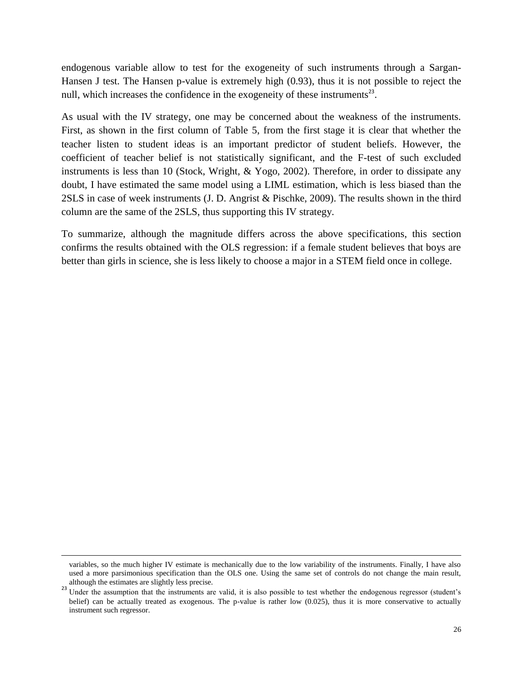endogenous variable allow to test for the exogeneity of such instruments through a Sargan-Hansen J test. The Hansen p-value is extremely high (0.93), thus it is not possible to reject the null, which increases the confidence in the exogeneity of these instruments<sup>23</sup>.

As usual with the IV strategy, one may be concerned about the weakness of the instruments. First, as shown in the first column of Table 5, from the first stage it is clear that whether the teacher listen to student ideas is an important predictor of student beliefs. However, the coefficient of teacher belief is not statistically significant, and the F-test of such excluded instruments is less than 10 (Stock, Wright, & Yogo, 2002). Therefore, in order to dissipate any doubt, I have estimated the same model using a LIML estimation, which is less biased than the 2SLS in case of week instruments (J. D. Angrist & Pischke, 2009). The results shown in the third column are the same of the 2SLS, thus supporting this IV strategy.

To summarize, although the magnitude differs across the above specifications, this section confirms the results obtained with the OLS regression: if a female student believes that boys are better than girls in science, she is less likely to choose a major in a STEM field once in college.

 $\overline{\phantom{a}}$ 

variables, so the much higher IV estimate is mechanically due to the low variability of the instruments. Finally, I have also used a more parsimonious specification than the OLS one. Using the same set of controls do not change the main result, although the estimates are slightly less precise.

<sup>&</sup>lt;sup>23</sup> Under the assumption that the instruments are valid, it is also possible to test whether the endogenous regressor (student's belief) can be actually treated as exogenous. The p-value is rather low (0.025), thus it is more conservative to actually instrument such regressor.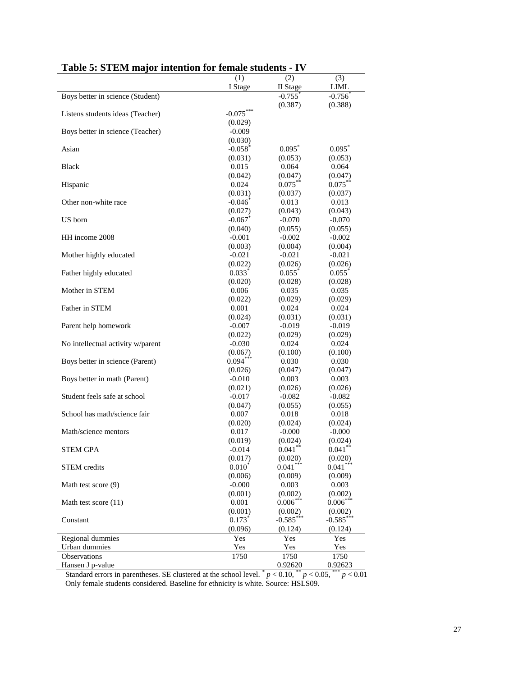|                                   | (1)<br>I Stage        | (2)<br>II Stage       | (3)              |
|-----------------------------------|-----------------------|-----------------------|------------------|
| Boys better in science (Student)  |                       | $-0.755$ <sup>*</sup> | LIML<br>$-0.756$ |
|                                   |                       | (0.387)               | (0.388)          |
| Listens students ideas (Teacher)  | $-0.075***$           |                       |                  |
|                                   | (0.029)               |                       |                  |
| Boys better in science (Teacher)  | $-0.009$              |                       |                  |
|                                   | (0.030)               |                       |                  |
| Asian                             | $-0.058$ <sup>*</sup> | 0.095                 | 0.095            |
|                                   | (0.031)               | (0.053)               | (0.053)          |
| <b>Black</b>                      | 0.015                 | 0.064                 | 0.064            |
|                                   | (0.042)               | (0.047)               | (0.047)          |
| Hispanic                          | 0.024                 | $0.075***$            | $0.075***$       |
|                                   | (0.031)               | (0.037)               |                  |
| Other non-white race              | $-0.046$              | 0.013                 | (0.037)<br>0.013 |
|                                   | (0.027)               | (0.043)               | (0.043)          |
| US born                           | $-0.067$ <sup>*</sup> | $-0.070$              | $-0.070$         |
|                                   |                       |                       |                  |
| HH income 2008                    | (0.040)               | (0.055)               | (0.055)          |
|                                   | $-0.001$<br>(0.003)   | $-0.002$<br>(0.004)   | $-0.002$         |
|                                   |                       |                       | (0.004)          |
| Mother highly educated            | $-0.021$              | $-0.021$              | $-0.021$         |
|                                   | (0.022)               | (0.026)               | (0.026)          |
| Father highly educated            | $0.033$ <sup>*</sup>  | 0.055                 | 0.055            |
|                                   | (0.020)<br>0.006      | (0.028)               | (0.028)          |
| Mother in STEM                    |                       | 0.035                 | 0.035            |
|                                   | (0.022)               | (0.029)               | (0.029)          |
| Father in STEM                    | 0.001                 | 0.024                 | 0.024            |
|                                   | (0.024)               | (0.031)               | (0.031)          |
| Parent help homework              | $-0.007$              | $-0.019$              | $-0.019$         |
|                                   | (0.022)               | (0.029)               | (0.029)          |
| No intellectual activity w/parent | $-0.030$              | 0.024                 | 0.024            |
|                                   | (0.067)<br>$0.094***$ | (0.100)               | (0.100)          |
| Boys better in science (Parent)   |                       | 0.030                 | 0.030            |
|                                   | (0.026)               | (0.047)               | (0.047)          |
| Boys better in math (Parent)      | $-0.010$              | 0.003                 | 0.003            |
|                                   | (0.021)               | (0.026)               | (0.026)          |
| Student feels safe at school      | $-0.017$              | $-0.082$              | $-0.082$         |
|                                   | (0.047)               | (0.055)               | (0.055)          |
| School has math/science fair      | 0.007                 | 0.018                 | 0.018            |
|                                   | (0.020)               | (0.024)               | (0.024)          |
| Math/science mentors              | 0.017                 | $-0.000$              | $-0.000$         |
|                                   | (0.019)               | (0.024)               | (0.024)          |
| <b>STEM GPA</b>                   | $-0.014$              | $0.041$ **            | $0.041$ **       |
|                                   | (0.017)               | (0.020)               | (0.020)          |
| <b>STEM</b> credits               | $0.010^{*}$           | $0.041***$            | $0.041***$       |
|                                   | (0.006)               | (0.009)               | (0.009)          |
| Math test score (9)               | $-0.000$              | 0.003                 | 0.003            |
|                                   | (0.001)               | (0.002)               | (0.002)          |
| Math test score (11)              | 0.001                 | $0.006***$            | $0.006***$       |
|                                   | (0.001)               | (0.002)               | (0.002)          |
| Constant                          | $0.173*$              | $-0.585***$           | $-0.585$ ***     |
|                                   | (0.096)               | (0.124)               | (0.124)          |
| Regional dummies                  | Yes                   | Yes                   | Yes              |
| Urban dummies                     | Yes                   | Yes                   | Yes              |
| Observations                      | 1750                  | 1750                  | 1750             |
| Hansen J p-value                  |                       | 0.92620               | 0.92623          |

## **Table 5: STEM major intention for female students - IV**

Standard errors in parentheses. SE clustered at the school level.  $p < 0.10$ ,  $p < 0.05$ ,  $p < 0.01$ Only female students considered. Baseline for ethnicity is white. Source: HSLS09.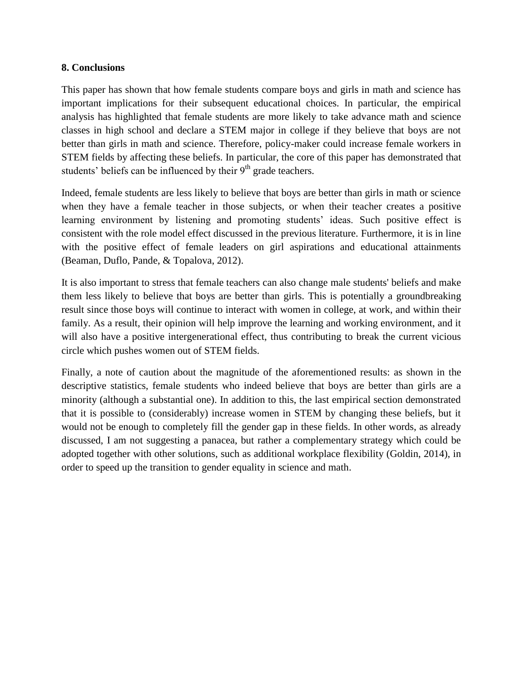### **8. Conclusions**

This paper has shown that how female students compare boys and girls in math and science has important implications for their subsequent educational choices. In particular, the empirical analysis has highlighted that female students are more likely to take advance math and science classes in high school and declare a STEM major in college if they believe that boys are not better than girls in math and science. Therefore, policy-maker could increase female workers in STEM fields by affecting these beliefs. In particular, the core of this paper has demonstrated that students' beliefs can be influenced by their  $9<sup>th</sup>$  grade teachers.

Indeed, female students are less likely to believe that boys are better than girls in math or science when they have a female teacher in those subjects, or when their teacher creates a positive learning environment by listening and promoting students' ideas. Such positive effect is consistent with the role model effect discussed in the previous literature. Furthermore, it is in line with the positive effect of female leaders on girl aspirations and educational attainments (Beaman, Duflo, Pande, & Topalova, 2012).

It is also important to stress that female teachers can also change male students' beliefs and make them less likely to believe that boys are better than girls. This is potentially a groundbreaking result since those boys will continue to interact with women in college, at work, and within their family. As a result, their opinion will help improve the learning and working environment, and it will also have a positive intergenerational effect, thus contributing to break the current vicious circle which pushes women out of STEM fields.

Finally, a note of caution about the magnitude of the aforementioned results: as shown in the descriptive statistics, female students who indeed believe that boys are better than girls are a minority (although a substantial one). In addition to this, the last empirical section demonstrated that it is possible to (considerably) increase women in STEM by changing these beliefs, but it would not be enough to completely fill the gender gap in these fields. In other words, as already discussed, I am not suggesting a panacea, but rather a complementary strategy which could be adopted together with other solutions, such as additional workplace flexibility (Goldin, 2014), in order to speed up the transition to gender equality in science and math.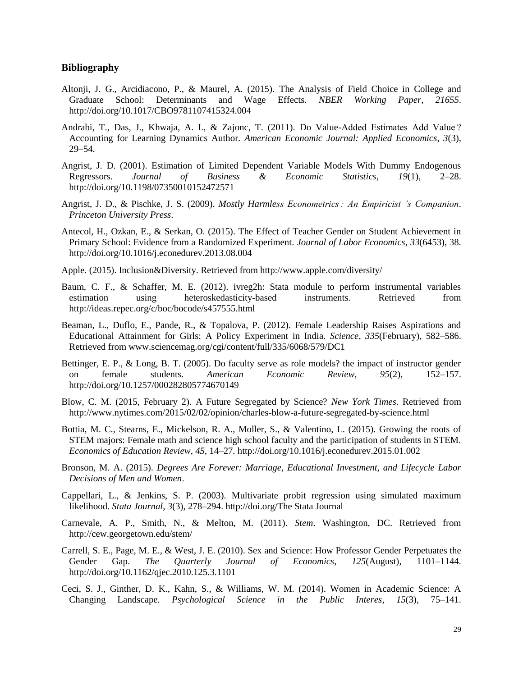#### **Bibliography**

- Altonji, J. G., Arcidiacono, P., & Maurel, A. (2015). The Analysis of Field Choice in College and Graduate School: Determinants and Wage Effects. *NBER Working Paper*, *21655*. http://doi.org/10.1017/CBO9781107415324.004
- Andrabi, T., Das, J., Khwaja, A. I., & Zajonc, T. (2011). Do Value-Added Estimates Add Value ? Accounting for Learning Dynamics Author. *American Economic Journal: Applied Economics*, *3*(3), 29–54.
- Angrist, J. D. (2001). Estimation of Limited Dependent Variable Models With Dummy Endogenous Regressors. *Journal of Business & Economic Statistics*, *19*(1), 2–28. http://doi.org/10.1198/07350010152472571
- Angrist, J. D., & Pischke, J. S. (2009). *Mostly Harmless Econometrics : An Empiricist 's Companion*. *Princeton University Press*.
- Antecol, H., Ozkan, E., & Serkan, O. (2015). The Effect of Teacher Gender on Student Achievement in Primary School: Evidence from a Randomized Experiment. *Journal of Labor Economics*, *33*(6453), 38. http://doi.org/10.1016/j.econedurev.2013.08.004
- Apple. (2015). Inclusion&Diversity. Retrieved from http://www.apple.com/diversity/
- Baum, C. F., & Schaffer, M. E. (2012). ivreg2h: Stata module to perform instrumental variables estimation using heteroskedasticity-based instruments. Retrieved from http://ideas.repec.org/c/boc/bocode/s457555.html
- Beaman, L., Duflo, E., Pande, R., & Topalova, P. (2012). Female Leadership Raises Aspirations and Educational Attainment for Girls: A Policy Experiment in India. *Science*, *335*(February), 582–586. Retrieved from www.sciencemag.org/cgi/content/full/335/6068/579/DC1
- Bettinger, E. P., & Long, B. T. (2005). Do faculty serve as role models? the impact of instructor gender on female students. *American Economic Review*, *95*(2), 152–157. http://doi.org/10.1257/000282805774670149
- Blow, C. M. (2015, February 2). A Future Segregated by Science? *New York Times*. Retrieved from http://www.nytimes.com/2015/02/02/opinion/charles-blow-a-future-segregated-by-science.html
- Bottia, M. C., Stearns, E., Mickelson, R. A., Moller, S., & Valentino, L. (2015). Growing the roots of STEM majors: Female math and science high school faculty and the participation of students in STEM. *Economics of Education Review*, *45*, 14–27. http://doi.org/10.1016/j.econedurev.2015.01.002
- Bronson, M. A. (2015). *Degrees Are Forever: Marriage, Educational Investment, and Lifecycle Labor Decisions of Men and Women*.
- Cappellari, L., & Jenkins, S. P. (2003). Multivariate probit regression using simulated maximum likelihood. *Stata Journal*, *3*(3), 278–294. http://doi.org/The Stata Journal
- Carnevale, A. P., Smith, N., & Melton, M. (2011). *Stem*. Washington, DC. Retrieved from http://cew.georgetown.edu/stem/
- Carrell, S. E., Page, M. E., & West, J. E. (2010). Sex and Science: How Professor Gender Perpetuates the Gender Gap. *The Quarterly Journal of Economics*, *125*(August), 1101–1144. http://doi.org/10.1162/qjec.2010.125.3.1101
- Ceci, S. J., Ginther, D. K., Kahn, S., & Williams, W. M. (2014). Women in Academic Science: A Changing Landscape. *Psychological Science in the Public Interes*, *15*(3), 75–141.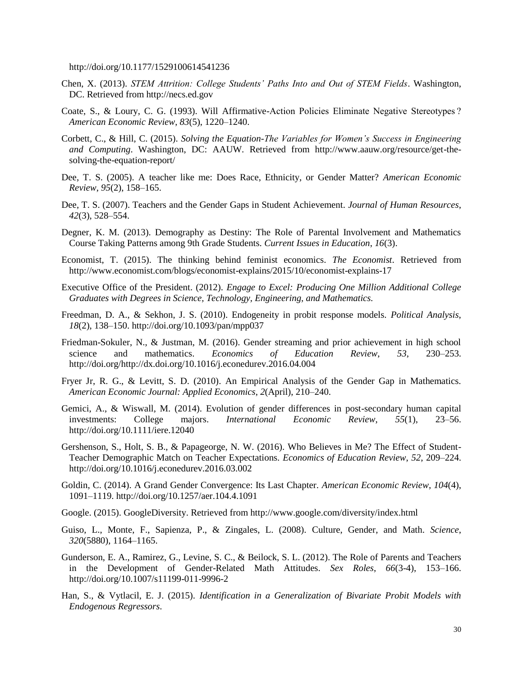http://doi.org/10.1177/1529100614541236

- Chen, X. (2013). *STEM Attrition: College Students' Paths Into and Out of STEM Fields*. Washington, DC. Retrieved from http://necs.ed.gov
- Coate, S., & Loury, C. G. (1993). Will Affirmative-Action Policies Eliminate Negative Stereotypes ? *American Economic Review*, *83*(5), 1220–1240.
- Corbett, C., & Hill, C. (2015). *Solving the Equation-The Variables for Women's Success in Engineering and Computing*. Washington, DC: AAUW. Retrieved from http://www.aauw.org/resource/get-thesolving-the-equation-report/
- Dee, T. S. (2005). A teacher like me: Does Race, Ethnicity, or Gender Matter? *American Economic Review*, *95*(2), 158–165.
- Dee, T. S. (2007). Teachers and the Gender Gaps in Student Achievement. *Journal of Human Resources*, *42*(3), 528–554.
- Degner, K. M. (2013). Demography as Destiny: The Role of Parental Involvement and Mathematics Course Taking Patterns among 9th Grade Students. *Current Issues in Education*, *16*(3).
- Economist, T. (2015). The thinking behind feminist economics. *The Economist*. Retrieved from http://www.economist.com/blogs/economist-explains/2015/10/economist-explains-17
- Executive Office of the President. (2012). *Engage to Excel: Producing One Million Additional College Graduates with Degrees in Science, Technology, Engineering, and Mathematics.*
- Freedman, D. A., & Sekhon, J. S. (2010). Endogeneity in probit response models. *Political Analysis*, *18*(2), 138–150. http://doi.org/10.1093/pan/mpp037
- Friedman-Sokuler, N., & Justman, M. (2016). Gender streaming and prior achievement in high school science and mathematics. *Economics of Education Review*, *53*, 230–253. http://doi.org/http://dx.doi.org/10.1016/j.econedurev.2016.04.004
- Fryer Jr, R. G., & Levitt, S. D. (2010). An Empirical Analysis of the Gender Gap in Mathematics. *American Economic Journal: Applied Economics*, *2*(April), 210–240.
- Gemici, A., & Wiswall, M. (2014). Evolution of gender differences in post-secondary human capital investments: College majors. *International Economic Review*, *55*(1), 23–56. http://doi.org/10.1111/iere.12040
- Gershenson, S., Holt, S. B., & Papageorge, N. W. (2016). Who Believes in Me? The Effect of Student-Teacher Demographic Match on Teacher Expectations. *Economics of Education Review*, *52*, 209–224. http://doi.org/10.1016/j.econedurev.2016.03.002
- Goldin, C. (2014). A Grand Gender Convergence: Its Last Chapter. *American Economic Review*, *104*(4), 1091–1119. http://doi.org/10.1257/aer.104.4.1091
- Google. (2015). GoogleDiversity. Retrieved from http://www.google.com/diversity/index.html
- Guiso, L., Monte, F., Sapienza, P., & Zingales, L. (2008). Culture, Gender, and Math. *Science*, *320*(5880), 1164–1165.
- Gunderson, E. A., Ramirez, G., Levine, S. C., & Beilock, S. L. (2012). The Role of Parents and Teachers in the Development of Gender-Related Math Attitudes. *Sex Roles*, *66*(3-4), 153–166. http://doi.org/10.1007/s11199-011-9996-2
- Han, S., & Vytlacil, E. J. (2015). *Identification in a Generalization of Bivariate Probit Models with Endogenous Regressors*.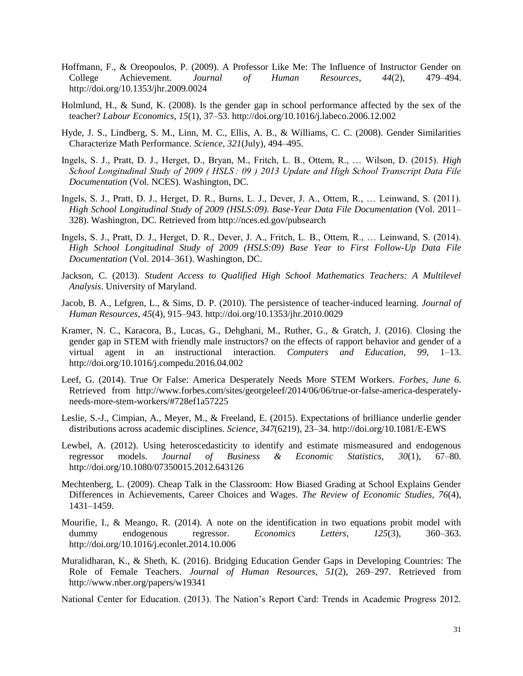- Hoffmann, F., & Oreopoulos, P. (2009). A Professor Like Me: The Influence of Instructor Gender on College Achievement. *Journal of Human Resources*, *44*(2), 479–494. http://doi.org/10.1353/jhr.2009.0024
- Holmlund, H., & Sund, K. (2008). Is the gender gap in school performance affected by the sex of the teacher? *Labour Economics*, *15*(1), 37–53. http://doi.org/10.1016/j.labeco.2006.12.002
- Hyde, J. S., Lindberg, S. M., Linn, M. C., Ellis, A. B., & Williams, C. C. (2008). Gender Similarities Characterize Math Performance. *Science*, *321*(July), 494–495.
- Ingels, S. J., Pratt, D. J., Herget, D., Bryan, M., Fritch, L. B., Ottem, R., … Wilson, D. (2015). *High School Longitudinal Study of 2009 ( HSLS : 09 ) 2013 Update and High School Transcript Data File Documentation* (Vol. NCES). Washington, DC.
- Ingels, S. J., Pratt, D. J., Herget, D. R., Burns, L. J., Dever, J. A., Ottem, R., … Leinwand, S. (2011). *High School Longitudinal Study of 2009 (HSLS:09). Base-Year Data File Documentation* (Vol. 2011– 328). Washington, DC. Retrieved from http://nces.ed.gov/pubsearch
- Ingels, S. J., Pratt, D. J., Herget, D. R., Dever, J. A., Fritch, L. B., Ottem, R., … Leinwand, S. (2014). *High School Longitudinal Study of 2009 (HSLS:09) Base Year to First Follow-Up Data File Documentation* (Vol. 2014–361). Washington, DC.
- Jackson, C. (2013). *Student Access to Qualified High School Mathematics Teachers: A Multilevel Analysis*. University of Maryland.
- Jacob, B. A., Lefgren, L., & Sims, D. P. (2010). The persistence of teacher-induced learning. *Journal of Human Resources*, *45*(4), 915–943. http://doi.org/10.1353/jhr.2010.0029
- Kramer, N. C., Karacora, B., Lucas, G., Dehghani, M., Ruther, G., & Gratch, J. (2016). Closing the gender gap in STEM with friendly male instructors? on the effects of rapport behavior and gender of a virtual agent in an instructional interaction. *Computers and Education*, *99*, 1–13. http://doi.org/10.1016/j.compedu.2016.04.002
- Leef, G. (2014). True Or False: America Desperately Needs More STEM Workers. *Forbes*, *June 6*. Retrieved from http://www.forbes.com/sites/georgeleef/2014/06/06/true-or-false-america-desperatelyneeds-more-stem-workers/#728ef1a57225
- Leslie, S.-J., Cimpian, A., Meyer, M., & Freeland, E. (2015). Expectations of brilliance underlie gender distributions across academic disciplines. *Science*, *347*(6219), 23–34. http://doi.org/10.1081/E-EWS
- Lewbel, A. (2012). Using heteroscedasticity to identify and estimate mismeasured and endogenous regressor models. *Journal of Business & Economic Statistics*, *30*(1), 67–80. http://doi.org/10.1080/07350015.2012.643126
- Mechtenberg, L. (2009). Cheap Talk in the Classroom: How Biased Grading at School Explains Gender Differences in Achievements, Career Choices and Wages. *The Review of Economic Studies*, *76*(4), 1431–1459.
- Mourifie, I., & Meango, R. (2014). A note on the identification in two equations probit model with dummy endogenous regressor. *Economics Letters*, *125*(3), 360–363. http://doi.org/10.1016/j.econlet.2014.10.006
- Muralidharan, K., & Sheth, K. (2016). Bridging Education Gender Gaps in Developing Countries: The Role of Female Teachers. *Journal of Human Resources*, *51*(2), 269–297. Retrieved from http://www.nber.org/papers/w19341
- National Center for Education. (2013). The Nation's Report Card: Trends in Academic Progress 2012.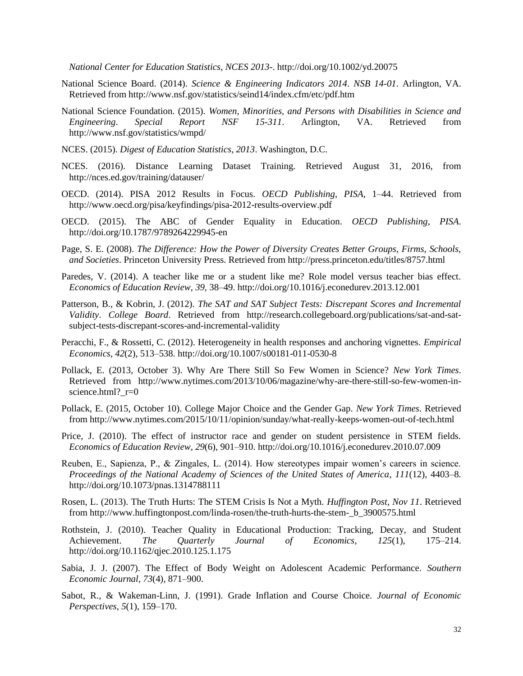*National Center for Education Statistics*, *NCES 2013-*. http://doi.org/10.1002/yd.20075

- National Science Board. (2014). *Science & Engineering Indicators 2014*. *NSB 14-01*. Arlington, VA. Retrieved from http://www.nsf.gov/statistics/seind14/index.cfm/etc/pdf.htm
- National Science Foundation. (2015). *Women, Minorities, and Persons with Disabilities in Science and Engineering*. *Special Report NSF 15-311*. Arlington, VA. Retrieved from http://www.nsf.gov/statistics/wmpd/
- NCES. (2015). *Digest of Education Statistics, 2013*. Washington, D.C.
- NCES. (2016). Distance Learning Dataset Training. Retrieved August 31, 2016, from http://nces.ed.gov/training/datauser/
- OECD. (2014). PISA 2012 Results in Focus. *OECD Publishing*, *PISA*, 1–44. Retrieved from http://www.oecd.org/pisa/keyfindings/pisa-2012-results-overview.pdf
- OECD. (2015). The ABC of Gender Equality in Education. *OECD Publishing*, *PISA*. http://doi.org/10.1787/9789264229945-en
- Page, S. E. (2008). *The Difference: How the Power of Diversity Creates Better Groups, Firms, Schools, and Societies*. Princeton University Press. Retrieved from http://press.princeton.edu/titles/8757.html
- Paredes, V. (2014). A teacher like me or a student like me? Role model versus teacher bias effect. *Economics of Education Review*, *39*, 38–49. http://doi.org/10.1016/j.econedurev.2013.12.001
- Patterson, B., & Kobrin, J. (2012). *The SAT and SAT Subject Tests: Discrepant Scores and Incremental Validity*. *College Board*. Retrieved from http://research.collegeboard.org/publications/sat-and-satsubject-tests-discrepant-scores-and-incremental-validity
- Peracchi, F., & Rossetti, C. (2012). Heterogeneity in health responses and anchoring vignettes. *Empirical Economics*, *42*(2), 513–538. http://doi.org/10.1007/s00181-011-0530-8
- Pollack, E. (2013, October 3). Why Are There Still So Few Women in Science? *New York Times*. Retrieved from http://www.nytimes.com/2013/10/06/magazine/why-are-there-still-so-few-women-inscience.html?\_r=0
- Pollack, E. (2015, October 10). College Major Choice and the Gender Gap. *New York Times*. Retrieved from http://www.nytimes.com/2015/10/11/opinion/sunday/what-really-keeps-women-out-of-tech.html
- Price, J. (2010). The effect of instructor race and gender on student persistence in STEM fields. *Economics of Education Review*, *29*(6), 901–910. http://doi.org/10.1016/j.econedurev.2010.07.009
- Reuben, E., Sapienza, P., & Zingales, L. (2014). How stereotypes impair women's careers in science. *Proceedings of the National Academy of Sciences of the United States of America*, *111*(12), 4403–8. http://doi.org/10.1073/pnas.1314788111
- Rosen, L. (2013). The Truth Hurts: The STEM Crisis Is Not a Myth. *Huffington Post*, *Nov 11*. Retrieved from http://www.huffingtonpost.com/linda-rosen/the-truth-hurts-the-stem- b 3900575.html
- Rothstein, J. (2010). Teacher Quality in Educational Production: Tracking, Decay, and Student Achievement. *The Quarterly Journal of Economics*, *125*(1), 175–214. http://doi.org/10.1162/qjec.2010.125.1.175
- Sabia, J. J. (2007). The Effect of Body Weight on Adolescent Academic Performance. *Southern Economic Journal*, *73*(4), 871–900.
- Sabot, R., & Wakeman-Linn, J. (1991). Grade Inflation and Course Choice. *Journal of Economic Perspectives*, *5*(1), 159–170.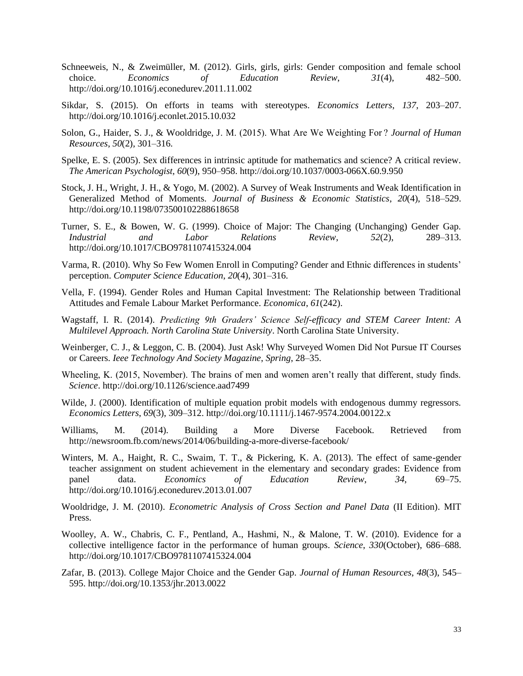- Schneeweis, N., & Zweimüller, M. (2012). Girls, girls, girls: Gender composition and female school choice. *Economics of Education Review*, *31*(4), 482–500. http://doi.org/10.1016/j.econedurev.2011.11.002
- Sikdar, S. (2015). On efforts in teams with stereotypes. *Economics Letters*, *137*, 203–207. http://doi.org/10.1016/j.econlet.2015.10.032
- Solon, G., Haider, S. J., & Wooldridge, J. M. (2015). What Are We Weighting For ? *Journal of Human Resources*, *50*(2), 301–316.
- Spelke, E. S. (2005). Sex differences in intrinsic aptitude for mathematics and science? A critical review. *The American Psychologist*, *60*(9), 950–958. http://doi.org/10.1037/0003-066X.60.9.950
- Stock, J. H., Wright, J. H., & Yogo, M. (2002). A Survey of Weak Instruments and Weak Identification in Generalized Method of Moments. *Journal of Business & Economic Statistics*, *20*(4), 518–529. http://doi.org/10.1198/073500102288618658
- Turner, S. E., & Bowen, W. G. (1999). Choice of Major: The Changing (Unchanging) Gender Gap. *Industrial and Labor Relations Review*, *52*(2), 289–313. http://doi.org/10.1017/CBO9781107415324.004
- Varma, R. (2010). Why So Few Women Enroll in Computing? Gender and Ethnic differences in students' perception. *Computer Science Education*, *20*(4), 301–316.
- Vella, F. (1994). Gender Roles and Human Capital Investment: The Relationship between Traditional Attitudes and Female Labour Market Performance. *Economica*, *61*(242).
- Wagstaff, I. R. (2014). *Predicting 9th Graders' Science Self-efficacy and STEM Career Intent: A Multilevel Approach. North Carolina State University*. North Carolina State University.
- Weinberger, C. J., & Leggon, C. B. (2004). Just Ask! Why Surveyed Women Did Not Pursue IT Courses or Careers. *Ieee Technology And Society Magazine*, *Spring*, 28–35.
- Wheeling, K. (2015, November). The brains of men and women aren't really that different, study finds. *Science*. http://doi.org/10.1126/science.aad7499
- Wilde, J. (2000). Identification of multiple equation probit models with endogenous dummy regressors. *Economics Letters*, *69*(3), 309–312. http://doi.org/10.1111/j.1467-9574.2004.00122.x
- Williams, M. (2014). Building a More Diverse Facebook. Retrieved from http://newsroom.fb.com/news/2014/06/building-a-more-diverse-facebook/
- Winters, M. A., Haight, R. C., Swaim, T. T., & Pickering, K. A. (2013). The effect of same-gender teacher assignment on student achievement in the elementary and secondary grades: Evidence from panel data. *Economics of Education Review*, *34*, 69–75. http://doi.org/10.1016/j.econedurev.2013.01.007
- Wooldridge, J. M. (2010). *Econometric Analysis of Cross Section and Panel Data* (II Edition). MIT Press.
- Woolley, A. W., Chabris, C. F., Pentland, A., Hashmi, N., & Malone, T. W. (2010). Evidence for a collective intelligence factor in the performance of human groups. *Science*, *330*(October), 686–688. http://doi.org/10.1017/CBO9781107415324.004
- Zafar, B. (2013). College Major Choice and the Gender Gap. *Journal of Human Resources*, *48*(3), 545– 595. http://doi.org/10.1353/jhr.2013.0022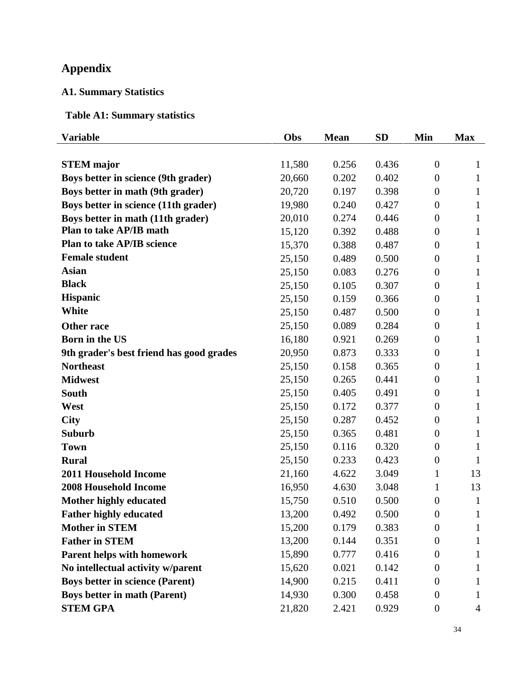## **Appendix**

### **A1. Summary Statistics**

### **Table A1: Summary statistics**

| <b>Variable</b>                          | Obs    | <b>Mean</b> | <b>SD</b> | Min              | <b>Max</b> |
|------------------------------------------|--------|-------------|-----------|------------------|------------|
|                                          |        |             |           |                  |            |
| <b>STEM</b> major                        | 11,580 | 0.256       | 0.436     | $\theta$         | 1          |
| Boys better in science (9th grader)      | 20,660 | 0.202       | 0.402     | $\boldsymbol{0}$ | 1          |
| Boys better in math (9th grader)         | 20,720 | 0.197       | 0.398     | $\boldsymbol{0}$ | 1          |
| Boys better in science (11th grader)     | 19,980 | 0.240       | 0.427     | $\overline{0}$   | 1          |
| Boys better in math (11th grader)        | 20,010 | 0.274       | 0.446     | $\overline{0}$   | 1          |
| <b>Plan to take AP/IB math</b>           | 15,120 | 0.392       | 0.488     | $\boldsymbol{0}$ | 1          |
| Plan to take AP/IB science               | 15,370 | 0.388       | 0.487     | $\boldsymbol{0}$ | 1          |
| <b>Female student</b>                    | 25,150 | 0.489       | 0.500     | $\overline{0}$   | 1          |
| <b>Asian</b>                             | 25,150 | 0.083       | 0.276     | $\overline{0}$   | 1          |
| <b>Black</b>                             | 25,150 | 0.105       | 0.307     | $\overline{0}$   | 1          |
| <b>Hispanic</b>                          | 25,150 | 0.159       | 0.366     | $\overline{0}$   | 1          |
| <b>White</b>                             | 25,150 | 0.487       | 0.500     | $\boldsymbol{0}$ | 1          |
| <b>Other race</b>                        | 25,150 | 0.089       | 0.284     | $\overline{0}$   | 1          |
| <b>Born in the US</b>                    | 16,180 | 0.921       | 0.269     | $\overline{0}$   | 1          |
| 9th grader's best friend has good grades | 20,950 | 0.873       | 0.333     | $\theta$         | 1          |
| <b>Northeast</b>                         | 25,150 | 0.158       | 0.365     | $\overline{0}$   | 1          |
| <b>Midwest</b>                           | 25,150 | 0.265       | 0.441     | $\overline{0}$   | 1          |
| <b>South</b>                             | 25,150 | 0.405       | 0.491     | $\boldsymbol{0}$ | 1          |
| West                                     | 25,150 | 0.172       | 0.377     | $\overline{0}$   | 1          |
| <b>City</b>                              | 25,150 | 0.287       | 0.452     | $\boldsymbol{0}$ | 1          |
| <b>Suburb</b>                            | 25,150 | 0.365       | 0.481     | $\boldsymbol{0}$ | 1          |
| <b>Town</b>                              | 25,150 | 0.116       | 0.320     | $\boldsymbol{0}$ | 1          |
| <b>Rural</b>                             | 25,150 | 0.233       | 0.423     | $\boldsymbol{0}$ | 1          |
| <b>2011 Household Income</b>             | 21,160 | 4.622       | 3.049     | $\mathbf{1}$     | 13         |
| <b>2008 Household Income</b>             | 16,950 | 4.630       | 3.048     | 1                | 13         |
| <b>Mother highly educated</b>            | 15,750 | 0.510       | 0.500     | $\overline{0}$   | 1          |
| <b>Father highly educated</b>            | 13,200 | 0.492       | 0.500     | $\boldsymbol{0}$ | 1          |
| <b>Mother in STEM</b>                    | 15,200 | 0.179       | 0.383     | $\boldsymbol{0}$ | 1          |
| <b>Father in STEM</b>                    | 13,200 | 0.144       | 0.351     | $\boldsymbol{0}$ |            |
| <b>Parent helps with homework</b>        | 15,890 | 0.777       | 0.416     | $\boldsymbol{0}$ |            |
| No intellectual activity w/parent        | 15,620 | 0.021       | 0.142     | $\theta$         |            |
| <b>Boys better in science (Parent)</b>   | 14,900 | 0.215       | 0.411     | $\overline{0}$   |            |
| <b>Boys better in math (Parent)</b>      | 14,930 | 0.300       | 0.458     | $\theta$         |            |
| <b>STEM GPA</b>                          | 21,820 | 2.421       | 0.929     | $\boldsymbol{0}$ | 4          |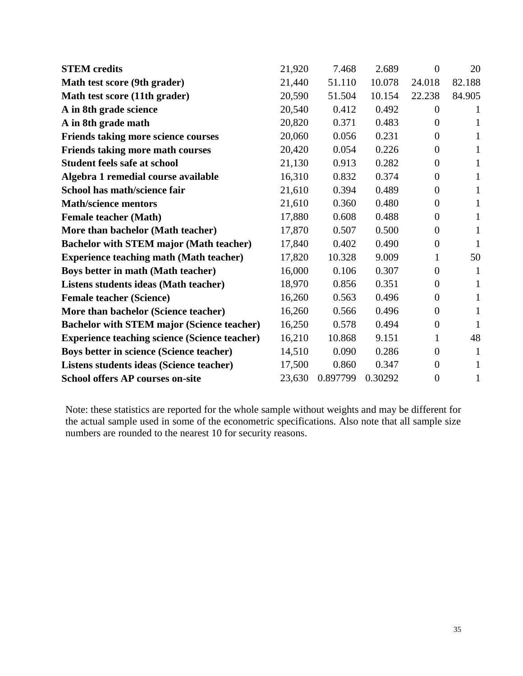| <b>STEM</b> credits                                  | 21,920 | 7.468    | 2.689   | $\Omega$       | 20     |
|------------------------------------------------------|--------|----------|---------|----------------|--------|
| Math test score (9th grader)                         | 21,440 | 51.110   | 10.078  | 24.018         | 82.188 |
| Math test score (11th grader)                        | 20,590 | 51.504   | 10.154  | 22.238         | 84.905 |
| A in 8th grade science                               | 20,540 | 0.412    | 0.492   | $\theta$       |        |
| A in 8th grade math                                  | 20,820 | 0.371    | 0.483   | $\Omega$       | 1      |
| Friends taking more science courses                  | 20,060 | 0.056    | 0.231   | $\Omega$       |        |
| <b>Friends taking more math courses</b>              | 20,420 | 0.054    | 0.226   | $\theta$       | 1      |
| <b>Student feels safe at school</b>                  | 21,130 | 0.913    | 0.282   | $\overline{0}$ | 1      |
| Algebra 1 remedial course available                  | 16,310 | 0.832    | 0.374   | $\overline{0}$ | 1      |
| School has math/science fair                         | 21,610 | 0.394    | 0.489   | $\theta$       | 1      |
| <b>Math/science mentors</b>                          | 21,610 | 0.360    | 0.480   | $\overline{0}$ | 1      |
| <b>Female teacher (Math)</b>                         | 17,880 | 0.608    | 0.488   | $\theta$       | 1      |
| More than bachelor (Math teacher)                    | 17,870 | 0.507    | 0.500   | $\theta$       | 1      |
| <b>Bachelor with STEM major (Math teacher)</b>       | 17,840 | 0.402    | 0.490   | $\theta$       | 1      |
| <b>Experience teaching math (Math teacher)</b>       | 17,820 | 10.328   | 9.009   | 1              | 50     |
| <b>Boys better in math (Math teacher)</b>            | 16,000 | 0.106    | 0.307   | $\theta$       | 1      |
| Listens students ideas (Math teacher)                | 18,970 | 0.856    | 0.351   | $\overline{0}$ | 1      |
| <b>Female teacher (Science)</b>                      | 16,260 | 0.563    | 0.496   | $\overline{0}$ | 1      |
| More than bachelor (Science teacher)                 | 16,260 | 0.566    | 0.496   | $\theta$       | 1      |
| <b>Bachelor with STEM major (Science teacher)</b>    | 16,250 | 0.578    | 0.494   | $\theta$       | 1      |
| <b>Experience teaching science (Science teacher)</b> | 16,210 | 10.868   | 9.151   | 1              | 48     |
| <b>Boys better in science (Science teacher)</b>      | 14,510 | 0.090    | 0.286   | $\theta$       |        |
| Listens students ideas (Science teacher)             | 17,500 | 0.860    | 0.347   | $\theta$       | 1      |
| <b>School offers AP courses on-site</b>              | 23,630 | 0.897799 | 0.30292 | $\theta$       | 1      |

Note: these statistics are reported for the whole sample without weights and may be different for the actual sample used in some of the econometric specifications. Also note that all sample size numbers are rounded to the nearest 10 for security reasons.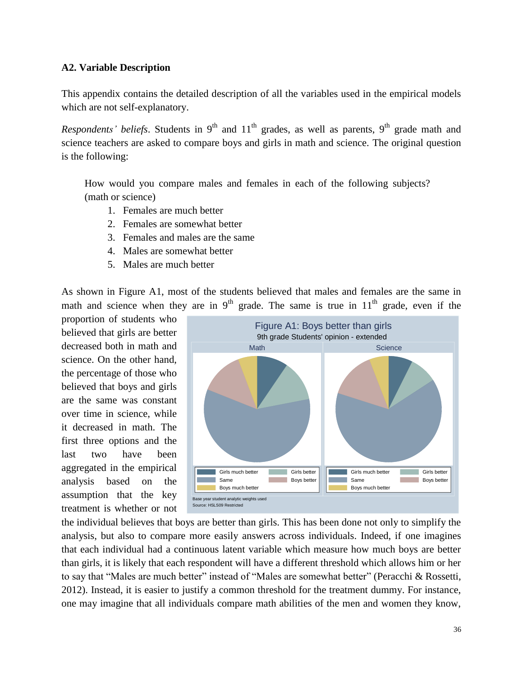### **A2. Variable Description**

This appendix contains the detailed description of all the variables used in the empirical models which are not self-explanatory.

*Respondents' beliefs*. Students in 9<sup>th</sup> and  $11<sup>th</sup>$  grades, as well as parents, 9<sup>th</sup> grade math and science teachers are asked to compare boys and girls in math and science. The original question is the following:

How would you compare males and females in each of the following subjects? (math or science)

- 1. Females are much better
- 2. Females are somewhat better
- 3. Females and males are the same
- 4. Males are somewhat better
- 5. Males are much better

As shown in Figure A1, most of the students believed that males and females are the same in math and science when they are in  $9<sup>th</sup>$  grade. The same is true in  $11<sup>th</sup>$  grade, even if the

proportion of students who believed that girls are better decreased both in math and science. On the other hand, the percentage of those who believed that boys and girls are the same was constant over time in science, while it decreased in math. The first three options and the last two have been aggregated in the empirical analysis based on the assumption that the key treatment is whether or not



the individual believes that boys are better than girls. This has been done not only to simplify the analysis, but also to compare more easily answers across individuals. Indeed, if one imagines that each individual had a continuous latent variable which measure how much boys are better than girls, it is likely that each respondent will have a different threshold which allows him or her to say that "Males are much better" instead of "Males are somewhat better" (Peracchi & Rossetti, 2012). Instead, it is easier to justify a common threshold for the treatment dummy. For instance, one may imagine that all individuals compare math abilities of the men and women they know,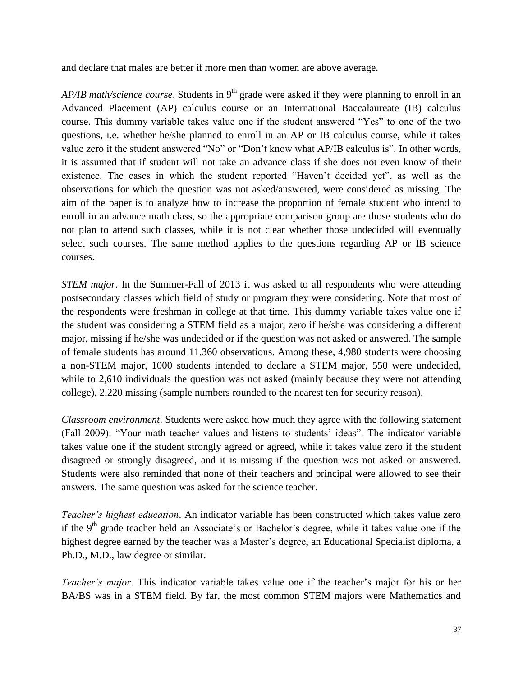and declare that males are better if more men than women are above average.

*AP/IB math/science course*. Students in 9<sup>th</sup> grade were asked if they were planning to enroll in an Advanced Placement (AP) calculus course or an International Baccalaureate (IB) calculus course. This dummy variable takes value one if the student answered "Yes" to one of the two questions, i.e. whether he/she planned to enroll in an AP or IB calculus course, while it takes value zero it the student answered "No" or "Don't know what AP/IB calculus is". In other words, it is assumed that if student will not take an advance class if she does not even know of their existence. The cases in which the student reported "Haven't decided yet", as well as the observations for which the question was not asked/answered, were considered as missing. The aim of the paper is to analyze how to increase the proportion of female student who intend to enroll in an advance math class, so the appropriate comparison group are those students who do not plan to attend such classes, while it is not clear whether those undecided will eventually select such courses. The same method applies to the questions regarding AP or IB science courses.

*STEM major*. In the Summer-Fall of 2013 it was asked to all respondents who were attending postsecondary classes which field of study or program they were considering. Note that most of the respondents were freshman in college at that time. This dummy variable takes value one if the student was considering a STEM field as a major, zero if he/she was considering a different major, missing if he/she was undecided or if the question was not asked or answered. The sample of female students has around 11,360 observations. Among these, 4,980 students were choosing a non-STEM major, 1000 students intended to declare a STEM major, 550 were undecided, while to 2,610 individuals the question was not asked (mainly because they were not attending college), 2,220 missing (sample numbers rounded to the nearest ten for security reason).

*Classroom environment*. Students were asked how much they agree with the following statement (Fall 2009): "Your math teacher values and listens to students' ideas". The indicator variable takes value one if the student strongly agreed or agreed, while it takes value zero if the student disagreed or strongly disagreed, and it is missing if the question was not asked or answered. Students were also reminded that none of their teachers and principal were allowed to see their answers. The same question was asked for the science teacher.

*Teacher's highest education*. An indicator variable has been constructed which takes value zero if the 9<sup>th</sup> grade teacher held an Associate's or Bachelor's degree, while it takes value one if the highest degree earned by the teacher was a Master's degree, an Educational Specialist diploma, a Ph.D., M.D., law degree or similar.

*Teacher's major*. This indicator variable takes value one if the teacher's major for his or her BA/BS was in a STEM field. By far, the most common STEM majors were Mathematics and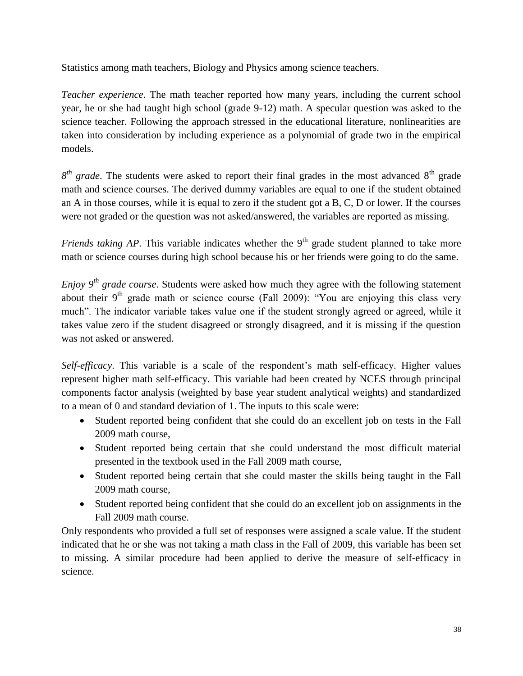Statistics among math teachers, Biology and Physics among science teachers.

*Teacher experience*. The math teacher reported how many years, including the current school year, he or she had taught high school (grade 9-12) math. A specular question was asked to the science teacher. Following the approach stressed in the educational literature, nonlinearities are taken into consideration by including experience as a polynomial of grade two in the empirical models.

 $8<sup>th</sup>$  *grade*. The students were asked to report their final grades in the most advanced  $8<sup>th</sup>$  grade math and science courses. The derived dummy variables are equal to one if the student obtained an A in those courses, while it is equal to zero if the student got a B, C, D or lower. If the courses were not graded or the question was not asked/answered, the variables are reported as missing.

*Friends taking AP*. This variable indicates whether the 9<sup>th</sup> grade student planned to take more math or science courses during high school because his or her friends were going to do the same.

*Enjoy 9th grade course*. Students were asked how much they agree with the following statement about their  $9<sup>th</sup>$  grade math or science course (Fall 2009): "You are enjoying this class very much". The indicator variable takes value one if the student strongly agreed or agreed, while it takes value zero if the student disagreed or strongly disagreed, and it is missing if the question was not asked or answered.

*Self-efficacy*. This variable is a scale of the respondent's math self-efficacy. Higher values represent higher math self-efficacy. This variable had been created by NCES through principal components factor analysis (weighted by base year student analytical weights) and standardized to a mean of 0 and standard deviation of 1. The inputs to this scale were:

- Student reported being confident that she could do an excellent job on tests in the Fall 2009 math course,
- Student reported being certain that she could understand the most difficult material presented in the textbook used in the Fall 2009 math course,
- Student reported being certain that she could master the skills being taught in the Fall 2009 math course,
- Student reported being confident that she could do an excellent job on assignments in the Fall 2009 math course.

Only respondents who provided a full set of responses were assigned a scale value. If the student indicated that he or she was not taking a math class in the Fall of 2009, this variable has been set to missing. A similar procedure had been applied to derive the measure of self-efficacy in science.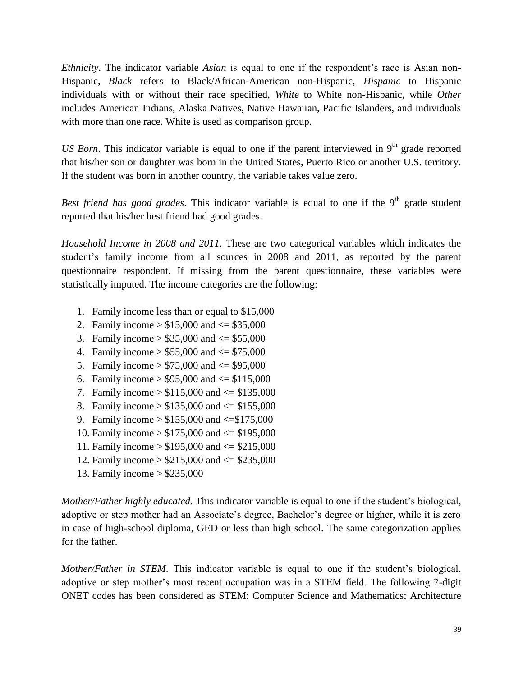*Ethnicity*. The indicator variable *Asian* is equal to one if the respondent's race is Asian non-Hispanic, *Black* refers to Black/African-American non-Hispanic, *Hispanic* to Hispanic individuals with or without their race specified, *White* to White non-Hispanic, while *Other* includes American Indians, Alaska Natives, Native Hawaiian, Pacific Islanders, and individuals with more than one race. White is used as comparison group.

*US Born*. This indicator variable is equal to one if the parent interviewed in 9<sup>th</sup> grade reported that his/her son or daughter was born in the United States, Puerto Rico or another U.S. territory. If the student was born in another country, the variable takes value zero.

*Best friend has good grades.* This indicator variable is equal to one if the 9<sup>th</sup> grade student reported that his/her best friend had good grades.

*Household Income in 2008 and 2011*. These are two categorical variables which indicates the student's family income from all sources in 2008 and 2011, as reported by the parent questionnaire respondent. If missing from the parent questionnaire, these variables were statistically imputed. The income categories are the following:

- 1. Family income less than or equal to \$15,000
- 2. Family income  $> $15,000$  and  $\leq $35,000$
- 3. Family income  $> $35,000$  and  $\leq $55,000$
- 4. Family income  $> $55,000$  and  $\leq $75,000$
- 5. Family income  $> $75,000$  and  $\leq $95,000$
- 6. Family income  $> $95,000$  and  $\le $115,000$
- 7. Family income  $> $115,000$  and  $\le$  \$135,000
- 8. Family income  $> $135,000$  and  $\le$  \$155,000
- 9. Family income  $> $155,000$  and  $\leq $175,000$
- 10. Family income > \$175,000 and <= \$195,000
- 11. Family income > \$195,000 and <= \$215,000
- 12. Family income > \$215,000 and <= \$235,000
- 13. Family income > \$235,000

*Mother/Father highly educated*. This indicator variable is equal to one if the student's biological, adoptive or step mother had an Associate's degree, Bachelor's degree or higher, while it is zero in case of high-school diploma, GED or less than high school. The same categorization applies for the father.

*Mother/Father in STEM*. This indicator variable is equal to one if the student's biological, adoptive or step mother's most recent occupation was in a STEM field. The following 2-digit ONET codes has been considered as STEM: Computer Science and Mathematics; Architecture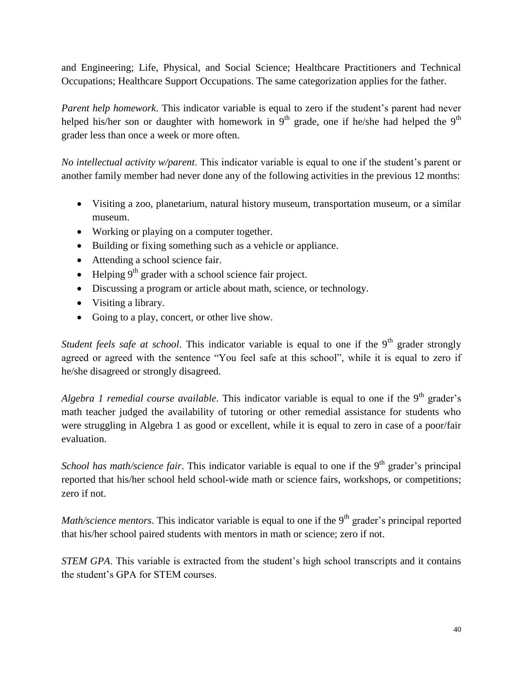and Engineering; Life, Physical, and Social Science; Healthcare Practitioners and Technical Occupations; Healthcare Support Occupations. The same categorization applies for the father.

*Parent help homework*. This indicator variable is equal to zero if the student's parent had never helped his/her son or daughter with homework in  $9<sup>th</sup>$  grade, one if he/she had helped the  $9<sup>th</sup>$ grader less than once a week or more often.

*No intellectual activity w/parent*. This indicator variable is equal to one if the student's parent or another family member had never done any of the following activities in the previous 12 months:

- Visiting a zoo, planetarium, natural history museum, transportation museum, or a similar museum.
- Working or playing on a computer together.
- Building or fixing something such as a vehicle or appliance.
- Attending a school science fair.
- $\bullet$  Helping 9<sup>th</sup> grader with a school science fair project.
- Discussing a program or article about math, science, or technology.
- Visiting a library.
- Going to a play, concert, or other live show.

*Student feels safe at school.* This indicator variable is equal to one if the 9<sup>th</sup> grader strongly agreed or agreed with the sentence "You feel safe at this school", while it is equal to zero if he/she disagreed or strongly disagreed.

*Algebra 1 remedial course available*. This indicator variable is equal to one if the 9<sup>th</sup> grader's math teacher judged the availability of tutoring or other remedial assistance for students who were struggling in Algebra 1 as good or excellent, while it is equal to zero in case of a poor/fair evaluation.

*School has math/science fair.* This indicator variable is equal to one if the 9<sup>th</sup> grader's principal reported that his/her school held school-wide math or science fairs, workshops, or competitions; zero if not.

*Math/science mentors*. This indicator variable is equal to one if the  $9<sup>th</sup>$  grader's principal reported that his/her school paired students with mentors in math or science; zero if not.

*STEM GPA*. This variable is extracted from the student's high school transcripts and it contains the student's GPA for STEM courses.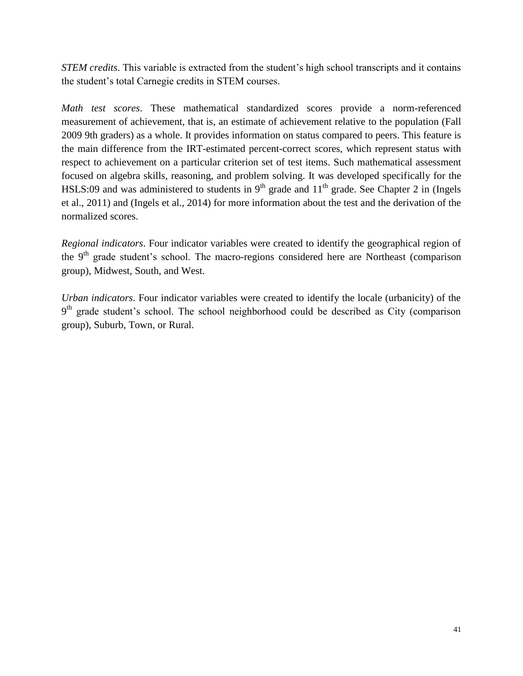*STEM credits*. This variable is extracted from the student's high school transcripts and it contains the student's total Carnegie credits in STEM courses.

*Math test scores*. These mathematical standardized scores provide a norm-referenced measurement of achievement, that is, an estimate of achievement relative to the population (Fall 2009 9th graders) as a whole. It provides information on status compared to peers. This feature is the main difference from the IRT-estimated percent-correct scores, which represent status with respect to achievement on a particular criterion set of test items. Such mathematical assessment focused on algebra skills, reasoning, and problem solving. It was developed specifically for the HSLS:09 and was administered to students in  $9<sup>th</sup>$  grade and  $11<sup>th</sup>$  grade. See Chapter 2 in (Ingels et al., 2011) and (Ingels et al., 2014) for more information about the test and the derivation of the normalized scores.

*Regional indicators*. Four indicator variables were created to identify the geographical region of the  $9<sup>th</sup>$  grade student's school. The macro-regions considered here are Northeast (comparison group), Midwest, South, and West.

*Urban indicators*. Four indicator variables were created to identify the locale (urbanicity) of the 9<sup>th</sup> grade student's school. The school neighborhood could be described as City (comparison group), Suburb, Town, or Rural.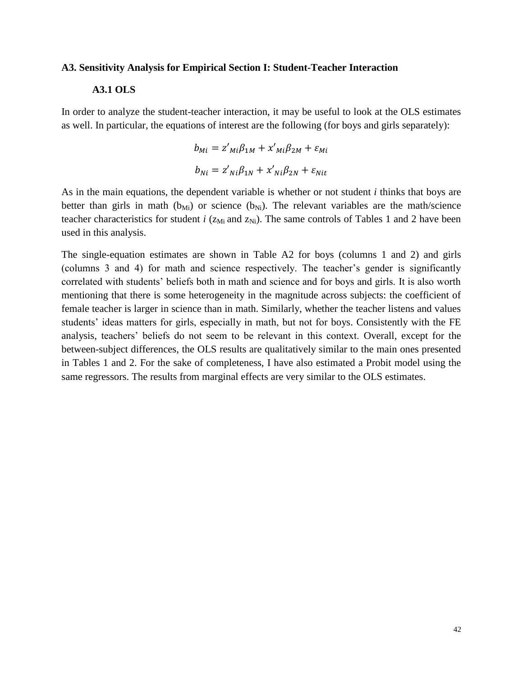#### **A3. Sensitivity Analysis for Empirical Section I: Student-Teacher Interaction**

### **A3.1 OLS**

In order to analyze the student-teacher interaction, it may be useful to look at the OLS estimates as well. In particular, the equations of interest are the following (for boys and girls separately):

$$
b_{Mi} = z'_{Mi}\beta_{1M} + x'_{Mi}\beta_{2M} + \varepsilon_{Mi}
$$

$$
b_{Ni} = z'_{Ni}\beta_{1N} + x'_{Ni}\beta_{2N} + \varepsilon_{Nit}
$$

As in the main equations, the dependent variable is whether or not student *i* thinks that boys are better than girls in math ( $b_{Mi}$ ) or science ( $b_{Ni}$ ). The relevant variables are the math/science teacher characteristics for student  $i$  ( $z<sub>Mi</sub>$  and  $z<sub>Ni</sub>$ ). The same controls of Tables 1 and 2 have been used in this analysis.

The single-equation estimates are shown in Table A2 for boys (columns 1 and 2) and girls (columns 3 and 4) for math and science respectively. The teacher's gender is significantly correlated with students' beliefs both in math and science and for boys and girls. It is also worth mentioning that there is some heterogeneity in the magnitude across subjects: the coefficient of female teacher is larger in science than in math. Similarly, whether the teacher listens and values students' ideas matters for girls, especially in math, but not for boys. Consistently with the FE analysis, teachers' beliefs do not seem to be relevant in this context. Overall, except for the between-subject differences, the OLS results are qualitatively similar to the main ones presented in Tables 1 and 2. For the sake of completeness, I have also estimated a Probit model using the same regressors. The results from marginal effects are very similar to the OLS estimates.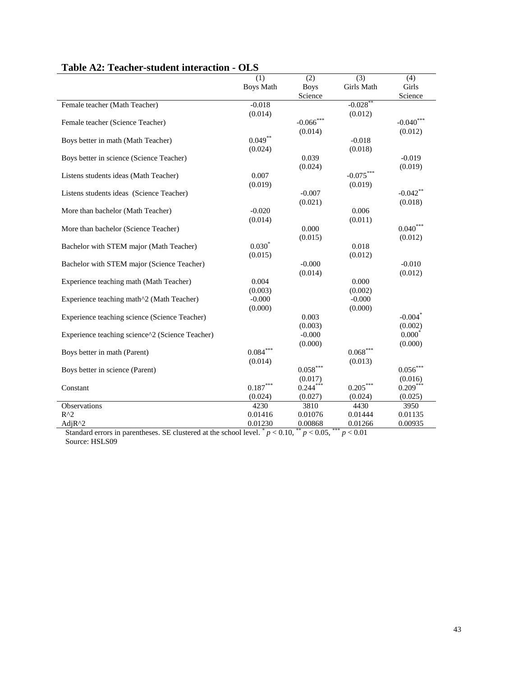|                                                 | (1)              | (2)                    | (3)                   | (4)                   |
|-------------------------------------------------|------------------|------------------------|-----------------------|-----------------------|
|                                                 | <b>Boys Math</b> | <b>Boys</b>            | Girls Math            | Girls                 |
|                                                 |                  | Science                |                       | Science               |
| Female teacher (Math Teacher)                   | $-0.018$         |                        | $-0.028$ <sup>*</sup> |                       |
|                                                 | (0.014)          |                        | (0.012)               |                       |
| Female teacher (Science Teacher)                |                  | $-0.066$ ***           |                       | $-0.040$ ***          |
|                                                 |                  | (0.014)                |                       | (0.012)               |
| Boys better in math (Math Teacher)              | $0.049***$       |                        | $-0.018$              |                       |
|                                                 | (0.024)          |                        | (0.018)               |                       |
| Boys better in science (Science Teacher)        |                  | 0.039                  |                       | $-0.019$              |
|                                                 |                  | (0.024)                |                       | (0.019)               |
| Listens students ideas (Math Teacher)           | 0.007            |                        | $-0.075***$           |                       |
|                                                 | (0.019)          |                        | (0.019)               |                       |
| Listens students ideas (Science Teacher)        |                  | $-0.007$               |                       | $-0.042$ **           |
|                                                 |                  | (0.021)                |                       | (0.018)               |
| More than bachelor (Math Teacher)               | $-0.020$         |                        | 0.006                 |                       |
|                                                 | (0.014)          |                        | (0.011)               |                       |
| More than bachelor (Science Teacher)            |                  | 0.000                  |                       | $0.040***$            |
|                                                 |                  | (0.015)                |                       | (0.012)               |
| Bachelor with STEM major (Math Teacher)         | $0.030*$         |                        | 0.018                 |                       |
|                                                 | (0.015)          |                        | (0.012)               |                       |
| Bachelor with STEM major (Science Teacher)      |                  | $-0.000$               |                       | $-0.010$              |
|                                                 |                  | (0.014)                |                       | (0.012)               |
| Experience teaching math (Math Teacher)         | 0.004            |                        | 0.000                 |                       |
|                                                 | (0.003)          |                        | (0.002)               |                       |
| Experience teaching math^2 (Math Teacher)       | $-0.000$         |                        | $-0.000$              |                       |
|                                                 | (0.000)          |                        | (0.000)               |                       |
| Experience teaching science (Science Teacher)   |                  | 0.003                  |                       | $-0.004$ <sup>*</sup> |
|                                                 |                  | (0.003)                |                       | (0.002)               |
| Experience teaching science^2 (Science Teacher) |                  | $-0.000$               |                       | $0.000^*$             |
|                                                 |                  | (0.000)                |                       | (0.000)               |
| Boys better in math (Parent)                    | $0.084***$       |                        | $0.068$ *             |                       |
|                                                 | (0.014)          |                        | (0.013)               |                       |
| Boys better in science (Parent)                 |                  | $0.058^{\ast\ast\ast}$ |                       | $0.056^{***}\,$       |
|                                                 |                  | (0.017)                |                       | (0.016)               |
| Constant                                        | $0.187***$       | $0.244***$             | $0.205***$            | $0.209***$            |
|                                                 | (0.024)          | (0.027)                | (0.024)               | (0.025)               |
| Observations                                    | 4230             | 3810                   | 4430                  | 3950                  |
| $R^2$                                           | 0.01416          | 0.01076                | 0.01444               | 0.01135               |
| Adj $R^2$                                       | 0.01230          | 0.00868                | 0.01266               | 0.00935               |

### **Table A2: Teacher-student interaction - OLS**

Standard errors in parentheses. SE clustered at the school level.  $p < 0.10$ ,  $p < 0.05$ ,  $p < 0.01$ Source: HSLS09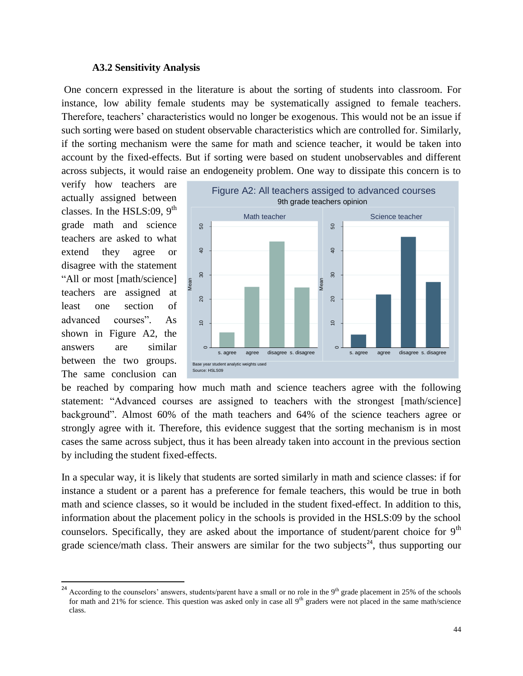#### **A3.2 Sensitivity Analysis**

One concern expressed in the literature is about the sorting of students into classroom. For instance, low ability female students may be systematically assigned to female teachers. Therefore, teachers' characteristics would no longer be exogenous. This would not be an issue if such sorting were based on student observable characteristics which are controlled for. Similarly, if the sorting mechanism were the same for math and science teacher, it would be taken into account by the fixed-effects. But if sorting were based on student unobservables and different across subjects, it would raise an endogeneity problem. One way to dissipate this concern is to

verify how teachers are actually assigned between classes. In the HSLS:09,  $9<sup>th</sup>$ grade math and science teachers are asked to what extend they agree or disagree with the statement "All or most [math/science] teachers are assigned at least one section of advanced courses". As shown in Figure A2, the answers are similar between the two groups. The same conclusion can

 $\overline{\phantom{a}}$ 



be reached by comparing how much math and science teachers agree with the following statement: "Advanced courses are assigned to teachers with the strongest [math/science] background". Almost 60% of the math teachers and 64% of the science teachers agree or strongly agree with it. Therefore, this evidence suggest that the sorting mechanism is in most cases the same across subject, thus it has been already taken into account in the previous section by including the student fixed-effects.

In a specular way, it is likely that students are sorted similarly in math and science classes: if for instance a student or a parent has a preference for female teachers, this would be true in both math and science classes, so it would be included in the student fixed-effect. In addition to this, information about the placement policy in the schools is provided in the HSLS:09 by the school counselors. Specifically, they are asked about the importance of student/parent choice for  $9<sup>th</sup>$ grade science/math class. Their answers are similar for the two subjects<sup>24</sup>, thus supporting our

<sup>&</sup>lt;sup>24</sup> According to the counselors' answers, students/parent have a small or no role in the 9<sup>th</sup> grade placement in 25% of the schools for math and 21% for science. This question was asked only in case all  $9<sup>th</sup>$  graders were not placed in the same math/science class.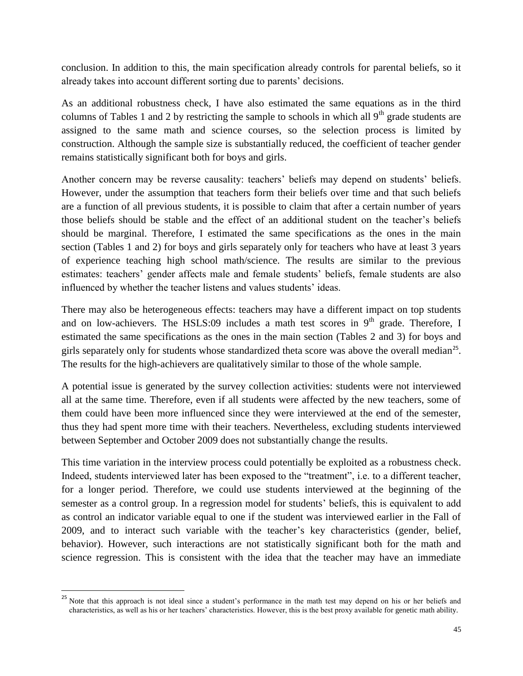conclusion. In addition to this, the main specification already controls for parental beliefs, so it already takes into account different sorting due to parents' decisions.

As an additional robustness check, I have also estimated the same equations as in the third columns of Tables 1 and 2 by restricting the sample to schools in which all  $9<sup>th</sup>$  grade students are assigned to the same math and science courses, so the selection process is limited by construction. Although the sample size is substantially reduced, the coefficient of teacher gender remains statistically significant both for boys and girls.

Another concern may be reverse causality: teachers' beliefs may depend on students' beliefs. However, under the assumption that teachers form their beliefs over time and that such beliefs are a function of all previous students, it is possible to claim that after a certain number of years those beliefs should be stable and the effect of an additional student on the teacher's beliefs should be marginal. Therefore, I estimated the same specifications as the ones in the main section (Tables 1 and 2) for boys and girls separately only for teachers who have at least 3 years of experience teaching high school math/science. The results are similar to the previous estimates: teachers' gender affects male and female students' beliefs, female students are also influenced by whether the teacher listens and values students' ideas.

There may also be heterogeneous effects: teachers may have a different impact on top students and on low-achievers. The HSLS:09 includes a math test scores in  $9<sup>th</sup>$  grade. Therefore, I estimated the same specifications as the ones in the main section (Tables 2 and 3) for boys and girls separately only for students whose standardized theta score was above the overall median<sup>25</sup>. The results for the high-achievers are qualitatively similar to those of the whole sample.

A potential issue is generated by the survey collection activities: students were not interviewed all at the same time. Therefore, even if all students were affected by the new teachers, some of them could have been more influenced since they were interviewed at the end of the semester, thus they had spent more time with their teachers. Nevertheless, excluding students interviewed between September and October 2009 does not substantially change the results.

This time variation in the interview process could potentially be exploited as a robustness check. Indeed, students interviewed later has been exposed to the "treatment", i.e. to a different teacher, for a longer period. Therefore, we could use students interviewed at the beginning of the semester as a control group. In a regression model for students' beliefs, this is equivalent to add as control an indicator variable equal to one if the student was interviewed earlier in the Fall of 2009, and to interact such variable with the teacher's key characteristics (gender, belief, behavior). However, such interactions are not statistically significant both for the math and science regression. This is consistent with the idea that the teacher may have an immediate

 $\overline{a}$ 

<sup>&</sup>lt;sup>25</sup> Note that this approach is not ideal since a student's performance in the math test may depend on his or her beliefs and characteristics, as well as his or her teachers' characteristics. However, this is the best proxy available for genetic math ability.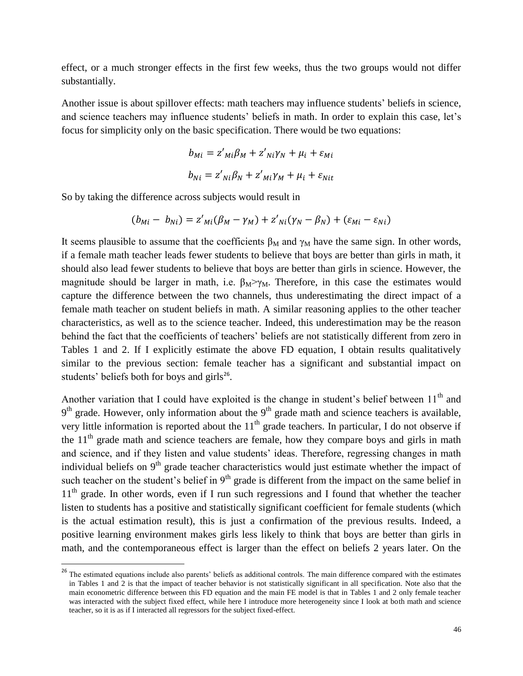effect, or a much stronger effects in the first few weeks, thus the two groups would not differ substantially.

Another issue is about spillover effects: math teachers may influence students' beliefs in science, and science teachers may influence students' beliefs in math. In order to explain this case, let's focus for simplicity only on the basic specification. There would be two equations:

$$
b_{Mi} = z'_{Mi}\beta_M + z'_{Ni}\gamma_N + \mu_i + \varepsilon_{Mi}
$$
  

$$
b_{Ni} = z'_{Ni}\beta_N + z'_{Mi}\gamma_M + \mu_i + \varepsilon_{Ni}
$$

So by taking the difference across subjects would result in

l

$$
(b_{Mi} - b_{Ni}) = z'_{Mi}(\beta_M - \gamma_M) + z'_{Ni}(\gamma_N - \beta_N) + (\varepsilon_{Mi} - \varepsilon_{Ni})
$$

It seems plausible to assume that the coefficients  $\beta_M$  and  $\gamma_M$  have the same sign. In other words, if a female math teacher leads fewer students to believe that boys are better than girls in math, it should also lead fewer students to believe that boys are better than girls in science. However, the magnitude should be larger in math, i.e.  $\beta_M \rightarrow \gamma_M$ . Therefore, in this case the estimates would capture the difference between the two channels, thus underestimating the direct impact of a female math teacher on student beliefs in math. A similar reasoning applies to the other teacher characteristics, as well as to the science teacher. Indeed, this underestimation may be the reason behind the fact that the coefficients of teachers' beliefs are not statistically different from zero in Tables 1 and 2. If I explicitly estimate the above FD equation, I obtain results qualitatively similar to the previous section: female teacher has a significant and substantial impact on students' beliefs both for boys and girls $^{26}$ .

Another variation that I could have exploited is the change in student's belief between  $11<sup>th</sup>$  and  $9<sup>th</sup>$  grade. However, only information about the  $9<sup>th</sup>$  grade math and science teachers is available, very little information is reported about the  $11<sup>th</sup>$  grade teachers. In particular, I do not observe if the  $11<sup>th</sup>$  grade math and science teachers are female, how they compare boys and girls in math and science, and if they listen and value students' ideas. Therefore, regressing changes in math individual beliefs on  $9<sup>th</sup>$  grade teacher characteristics would just estimate whether the impact of such teacher on the student's belief in  $9<sup>th</sup>$  grade is different from the impact on the same belief in  $11<sup>th</sup>$  grade. In other words, even if I run such regressions and I found that whether the teacher listen to students has a positive and statistically significant coefficient for female students (which is the actual estimation result), this is just a confirmation of the previous results. Indeed, a positive learning environment makes girls less likely to think that boys are better than girls in math, and the contemporaneous effect is larger than the effect on beliefs 2 years later. On the

<sup>&</sup>lt;sup>26</sup> The estimated equations include also parents' beliefs as additional controls. The main difference compared with the estimates in Tables 1 and 2 is that the impact of teacher behavior is not statistically significant in all specification. Note also that the main econometric difference between this FD equation and the main FE model is that in Tables 1 and 2 only female teacher was interacted with the subject fixed effect, while here I introduce more heterogeneity since I look at both math and science teacher, so it is as if I interacted all regressors for the subject fixed-effect.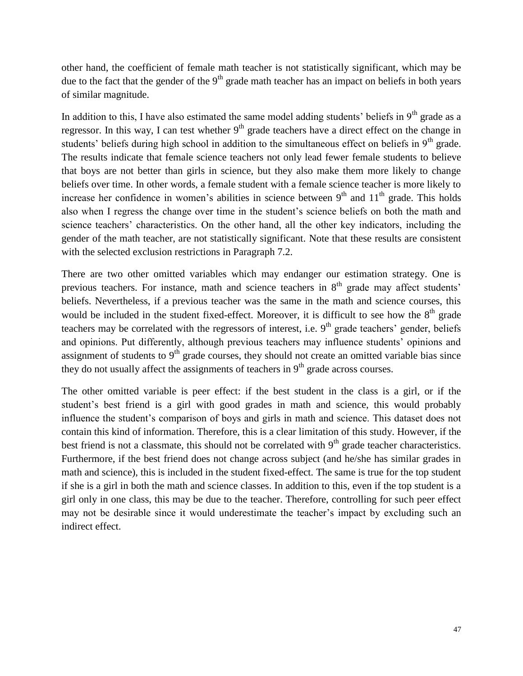other hand, the coefficient of female math teacher is not statistically significant, which may be due to the fact that the gender of the  $9<sup>th</sup>$  grade math teacher has an impact on beliefs in both years of similar magnitude.

In addition to this, I have also estimated the same model adding students' beliefs in  $9<sup>th</sup>$  grade as a regressor. In this way, I can test whether  $9<sup>th</sup>$  grade teachers have a direct effect on the change in students' beliefs during high school in addition to the simultaneous effect on beliefs in 9<sup>th</sup> grade. The results indicate that female science teachers not only lead fewer female students to believe that boys are not better than girls in science, but they also make them more likely to change beliefs over time. In other words, a female student with a female science teacher is more likely to increase her confidence in women's abilities in science between  $9<sup>th</sup>$  and  $11<sup>th</sup>$  grade. This holds also when I regress the change over time in the student's science beliefs on both the math and science teachers' characteristics. On the other hand, all the other key indicators, including the gender of the math teacher, are not statistically significant. Note that these results are consistent with the selected exclusion restrictions in Paragraph 7.2.

There are two other omitted variables which may endanger our estimation strategy. One is previous teachers. For instance, math and science teachers in  $8<sup>th</sup>$  grade may affect students' beliefs. Nevertheless, if a previous teacher was the same in the math and science courses, this would be included in the student fixed-effect. Moreover, it is difficult to see how the  $8<sup>th</sup>$  grade teachers may be correlated with the regressors of interest, i.e.  $9<sup>th</sup>$  grade teachers' gender, beliefs and opinions. Put differently, although previous teachers may influence students' opinions and assignment of students to  $9<sup>th</sup>$  grade courses, they should not create an omitted variable bias since they do not usually affect the assignments of teachers in  $9<sup>th</sup>$  grade across courses.

The other omitted variable is peer effect: if the best student in the class is a girl, or if the student's best friend is a girl with good grades in math and science, this would probably influence the student's comparison of boys and girls in math and science. This dataset does not contain this kind of information. Therefore, this is a clear limitation of this study. However, if the best friend is not a classmate, this should not be correlated with  $9<sup>th</sup>$  grade teacher characteristics. Furthermore, if the best friend does not change across subject (and he/she has similar grades in math and science), this is included in the student fixed-effect. The same is true for the top student if she is a girl in both the math and science classes. In addition to this, even if the top student is a girl only in one class, this may be due to the teacher. Therefore, controlling for such peer effect may not be desirable since it would underestimate the teacher's impact by excluding such an indirect effect.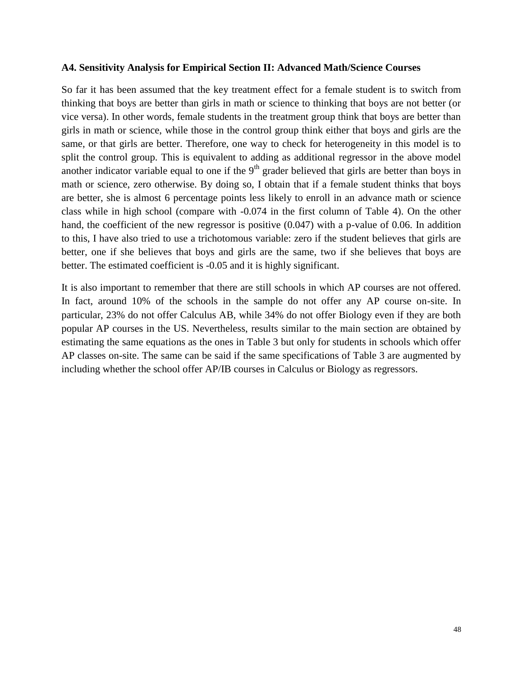### **A4. Sensitivity Analysis for Empirical Section II: Advanced Math/Science Courses**

So far it has been assumed that the key treatment effect for a female student is to switch from thinking that boys are better than girls in math or science to thinking that boys are not better (or vice versa). In other words, female students in the treatment group think that boys are better than girls in math or science, while those in the control group think either that boys and girls are the same, or that girls are better. Therefore, one way to check for heterogeneity in this model is to split the control group. This is equivalent to adding as additional regressor in the above model another indicator variable equal to one if the  $9<sup>th</sup>$  grader believed that girls are better than boys in math or science, zero otherwise. By doing so, I obtain that if a female student thinks that boys are better, she is almost 6 percentage points less likely to enroll in an advance math or science class while in high school (compare with -0.074 in the first column of Table 4). On the other hand, the coefficient of the new regressor is positive (0.047) with a p-value of 0.06. In addition to this, I have also tried to use a trichotomous variable: zero if the student believes that girls are better, one if she believes that boys and girls are the same, two if she believes that boys are better. The estimated coefficient is -0.05 and it is highly significant.

It is also important to remember that there are still schools in which AP courses are not offered. In fact, around 10% of the schools in the sample do not offer any AP course on-site. In particular, 23% do not offer Calculus AB, while 34% do not offer Biology even if they are both popular AP courses in the US. Nevertheless, results similar to the main section are obtained by estimating the same equations as the ones in Table 3 but only for students in schools which offer AP classes on-site. The same can be said if the same specifications of Table 3 are augmented by including whether the school offer AP/IB courses in Calculus or Biology as regressors.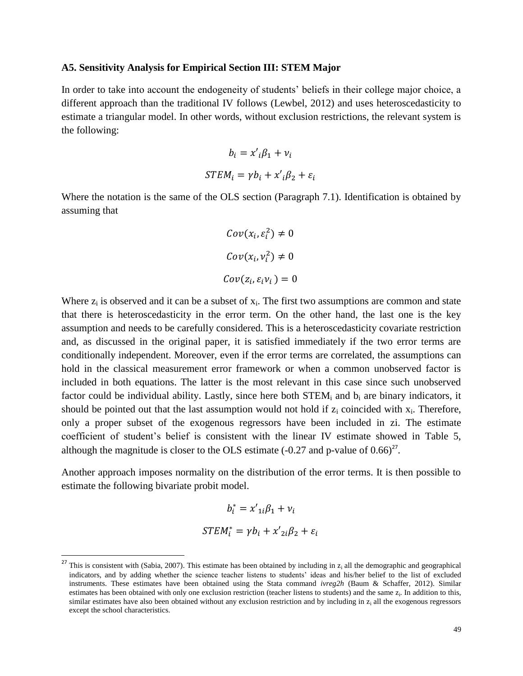#### **A5. Sensitivity Analysis for Empirical Section III: STEM Major**

In order to take into account the endogeneity of students' beliefs in their college major choice, a different approach than the traditional IV follows (Lewbel, 2012) and uses heteroscedasticity to estimate a triangular model. In other words, without exclusion restrictions, the relevant system is the following:

$$
b_i = x'_{i} \beta_1 + v_i
$$
  
STEM<sub>i</sub> =  $\gamma b_i + x'_{i} \beta_2 + \varepsilon_i$ 

Where the notation is the same of the OLS section (Paragraph 7.1). Identification is obtained by assuming that

$$
Cov(x_i, \varepsilon_i^2) \neq 0
$$
  

$$
Cov(x_i, v_i^2) \neq 0
$$
  

$$
Cov(z_i, \varepsilon_i v_i) = 0
$$

Where  $z_i$  is observed and it can be a subset of  $x_i$ . The first two assumptions are common and state that there is heteroscedasticity in the error term. On the other hand, the last one is the key assumption and needs to be carefully considered. This is a heteroscedasticity covariate restriction and, as discussed in the original paper, it is satisfied immediately if the two error terms are conditionally independent. Moreover, even if the error terms are correlated, the assumptions can hold in the classical measurement error framework or when a common unobserved factor is included in both equations. The latter is the most relevant in this case since such unobserved factor could be individual ability. Lastly, since here both  $STEM_i$  and  $b_i$  are binary indicators, it should be pointed out that the last assumption would not hold if  $z_i$  coincided with  $x_i$ . Therefore, only a proper subset of the exogenous regressors have been included in zi. The estimate coefficient of student's belief is consistent with the linear IV estimate showed in Table 5, although the magnitude is closer to the OLS estimate  $(-0.27 \text{ and } p\text{-value of } 0.66)^{27}$ .

Another approach imposes normality on the distribution of the error terms. It is then possible to estimate the following bivariate probit model.

$$
b_i^* = x'_{1i}\beta_1 + v_i
$$
  
STEM<sub>i</sub><sup>\*</sup> =  $\gamma b_i + x'_{2i}\beta_2 + \varepsilon_i$ 

 $\overline{\phantom{a}}$ 

<sup>&</sup>lt;sup>27</sup> This is consistent with (Sabia, 2007). This estimate has been obtained by including in  $z_i$  all the demographic and geographical indicators, and by adding whether the science teacher listens to students' ideas and his/her belief to the list of excluded instruments. These estimates have been obtained using the Stata command *ivreg2h* (Baum & Schaffer, 2012). Similar estimates has been obtained with only one exclusion restriction (teacher listens to students) and the same  $z_i$ . In addition to this, similar estimates have also been obtained without any exclusion restriction and by including in  $z_i$  all the exogenous regressors except the school characteristics.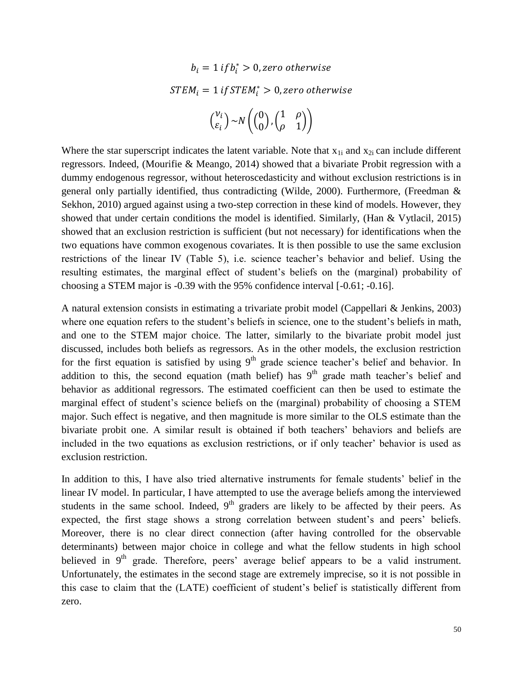$$
b_i = 1 \text{ if } b_i^* > 0, \text{ zero otherwise}
$$
\n
$$
STEM_i = 1 \text{ if } STEM_i^* > 0, \text{ zero otherwise}
$$
\n
$$
\binom{v_i}{\varepsilon_i} \sim N\left(\binom{0}{0}, \binom{1}{\rho} - 1\right)
$$

Where the star superscript indicates the latent variable. Note that  $x_{1i}$  and  $x_{2i}$  can include different regressors. Indeed, (Mourifie & Meango, 2014) showed that a bivariate Probit regression with a dummy endogenous regressor, without heteroscedasticity and without exclusion restrictions is in general only partially identified, thus contradicting (Wilde, 2000). Furthermore, (Freedman & Sekhon, 2010) argued against using a two-step correction in these kind of models. However, they showed that under certain conditions the model is identified. Similarly, (Han & Vytlacil, 2015) showed that an exclusion restriction is sufficient (but not necessary) for identifications when the two equations have common exogenous covariates. It is then possible to use the same exclusion restrictions of the linear IV (Table 5), i.e. science teacher's behavior and belief. Using the resulting estimates, the marginal effect of student's beliefs on the (marginal) probability of choosing a STEM major is -0.39 with the 95% confidence interval [-0.61; -0.16].

A natural extension consists in estimating a trivariate probit model (Cappellari & Jenkins, 2003) where one equation refers to the student's beliefs in science, one to the student's beliefs in math, and one to the STEM major choice. The latter, similarly to the bivariate probit model just discussed, includes both beliefs as regressors. As in the other models, the exclusion restriction for the first equation is satisfied by using  $9<sup>th</sup>$  grade science teacher's belief and behavior. In addition to this, the second equation (math belief) has  $9<sup>th</sup>$  grade math teacher's belief and behavior as additional regressors. The estimated coefficient can then be used to estimate the marginal effect of student's science beliefs on the (marginal) probability of choosing a STEM major. Such effect is negative, and then magnitude is more similar to the OLS estimate than the bivariate probit one. A similar result is obtained if both teachers' behaviors and beliefs are included in the two equations as exclusion restrictions, or if only teacher' behavior is used as exclusion restriction.

In addition to this, I have also tried alternative instruments for female students' belief in the linear IV model. In particular, I have attempted to use the average beliefs among the interviewed students in the same school. Indeed,  $9<sup>th</sup>$  graders are likely to be affected by their peers. As expected, the first stage shows a strong correlation between student's and peers' beliefs. Moreover, there is no clear direct connection (after having controlled for the observable determinants) between major choice in college and what the fellow students in high school believed in  $9<sup>th</sup>$  grade. Therefore, peers' average belief appears to be a valid instrument. Unfortunately, the estimates in the second stage are extremely imprecise, so it is not possible in this case to claim that the (LATE) coefficient of student's belief is statistically different from zero.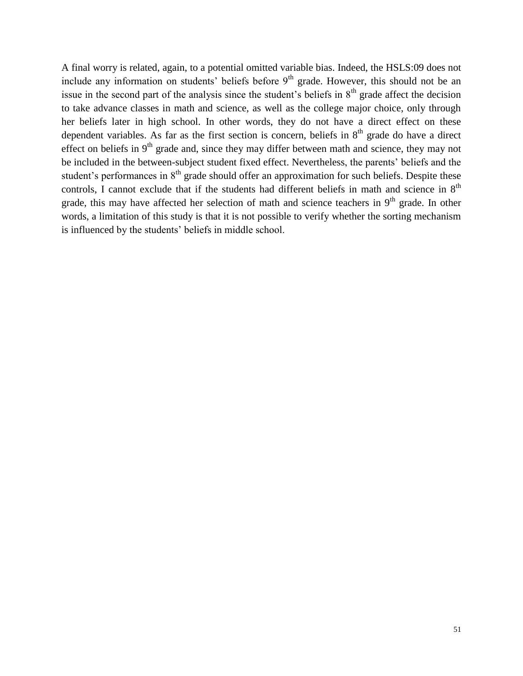A final worry is related, again, to a potential omitted variable bias. Indeed, the HSLS:09 does not include any information on students' beliefs before  $9<sup>th</sup>$  grade. However, this should not be an issue in the second part of the analysis since the student's beliefs in  $8<sup>th</sup>$  grade affect the decision to take advance classes in math and science, as well as the college major choice, only through her beliefs later in high school. In other words, they do not have a direct effect on these dependent variables. As far as the first section is concern, beliefs in  $8<sup>th</sup>$  grade do have a direct effect on beliefs in  $9<sup>th</sup>$  grade and, since they may differ between math and science, they may not be included in the between-subject student fixed effect. Nevertheless, the parents' beliefs and the student's performances in  $8<sup>th</sup>$  grade should offer an approximation for such beliefs. Despite these controls, I cannot exclude that if the students had different beliefs in math and science in  $8<sup>th</sup>$ grade, this may have affected her selection of math and science teachers in  $9<sup>th</sup>$  grade. In other words, a limitation of this study is that it is not possible to verify whether the sorting mechanism is influenced by the students' beliefs in middle school.